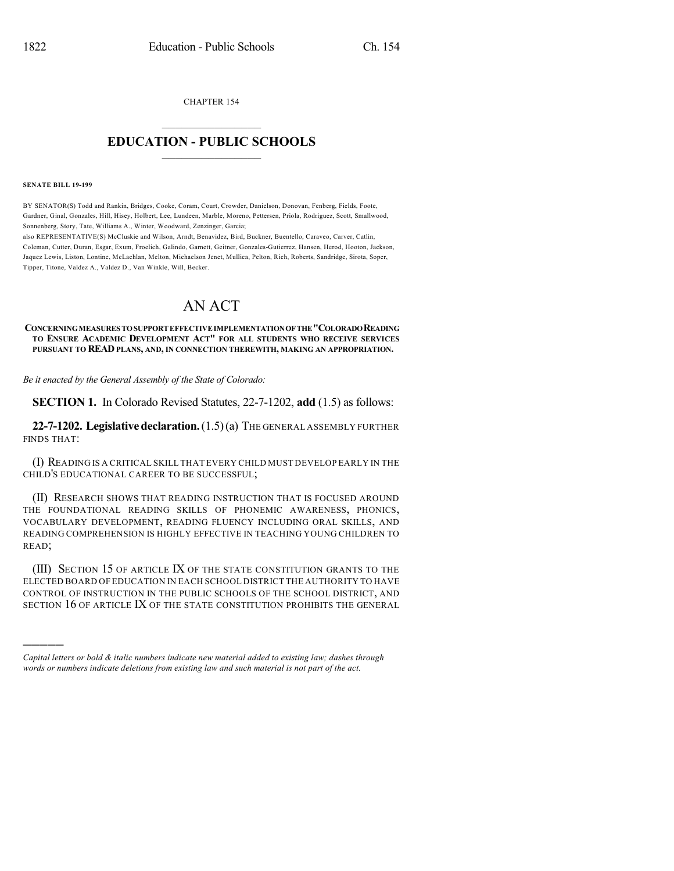CHAPTER 154

## $\overline{\phantom{a}}$  . The set of the set of the set of the set of the set of the set of the set of the set of the set of the set of the set of the set of the set of the set of the set of the set of the set of the set of the set o **EDUCATION - PUBLIC SCHOOLS**  $\_$   $\_$   $\_$   $\_$   $\_$   $\_$   $\_$   $\_$   $\_$

#### **SENATE BILL 19-199**

)))))

BY SENATOR(S) Todd and Rankin, Bridges, Cooke, Coram, Court, Crowder, Danielson, Donovan, Fenberg, Fields, Foote, Gardner, Ginal, Gonzales, Hill, Hisey, Holbert, Lee, Lundeen, Marble, Moreno, Pettersen, Priola, Rodriguez, Scott, Smallwood, Sonnenberg, Story, Tate, Williams A., Winter, Woodward, Zenzinger, Garcia; also REPRESENTATIVE(S) McCluskie and Wilson, Arndt, Benavidez, Bird, Buckner, Buentello, Caraveo, Carver, Catlin,

Coleman, Cutter, Duran, Esgar, Exum, Froelich, Galindo, Garnett, Geitner, Gonzales-Gutierrez, Hansen, Herod, Hooton, Jackson, Jaquez Lewis, Liston, Lontine, McLachlan, Melton, Michaelson Jenet, Mullica, Pelton, Rich, Roberts, Sandridge, Sirota, Soper, Tipper, Titone, Valdez A., Valdez D., Van Winkle, Will, Becker.

# AN ACT

#### **CONCERNINGMEASURES TOSUPPORTEFFECTIVEIMPLEMENTATIONOFTHE"COLORADOREADING TO ENSURE ACADEMIC DEVELOPMENT ACT" FOR ALL STUDENTS WHO RECEIVE SERVICES PURSUANT TO READ PLANS, AND, IN CONNECTION THEREWITH, MAKING AN APPROPRIATION.**

*Be it enacted by the General Assembly of the State of Colorado:*

**SECTION 1.** In Colorado Revised Statutes, 22-7-1202, **add** (1.5) as follows:

**22-7-1202. Legislativedeclaration.**(1.5)(a) THE GENERAL ASSEMBLY FURTHER FINDS THAT:

(I) READING IS A CRITICAL SKILL THAT EVERY CHILD MUST DEVELOP EARLY IN THE CHILD'S EDUCATIONAL CAREER TO BE SUCCESSFUL;

(II) RESEARCH SHOWS THAT READING INSTRUCTION THAT IS FOCUSED AROUND THE FOUNDATIONAL READING SKILLS OF PHONEMIC AWARENESS, PHONICS, VOCABULARY DEVELOPMENT, READING FLUENCY INCLUDING ORAL SKILLS, AND READING COMPREHENSION IS HIGHLY EFFECTIVE IN TEACHING YOUNG CHILDREN TO READ;

(III) SECTION 15 OF ARTICLE IX OF THE STATE CONSTITUTION GRANTS TO THE ELECTED BOARD OF EDUCATION IN EACH SCHOOL DISTRICT THE AUTHORITY TO HAVE CONTROL OF INSTRUCTION IN THE PUBLIC SCHOOLS OF THE SCHOOL DISTRICT, AND SECTION 16 OF ARTICLE IX OF THE STATE CONSTITUTION PROHIBITS THE GENERAL

*Capital letters or bold & italic numbers indicate new material added to existing law; dashes through words or numbers indicate deletions from existing law and such material is not part of the act.*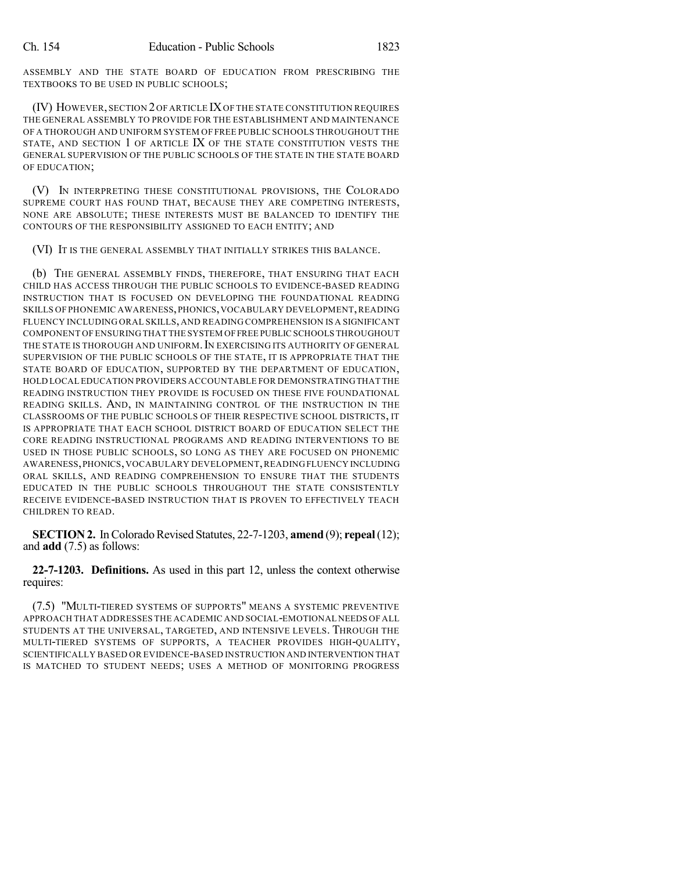ASSEMBLY AND THE STATE BOARD OF EDUCATION FROM PRESCRIBING THE TEXTBOOKS TO BE USED IN PUBLIC SCHOOLS;

(IV) HOWEVER, SECTION 2OF ARTICLE IXOF THE STATE CONSTITUTION REQUIRES THE GENERAL ASSEMBLY TO PROVIDE FOR THE ESTABLISHMENT AND MAINTENANCE OF A THOROUGH AND UNIFORM SYSTEM OF FREE PUBLIC SCHOOLS THROUGHOUT THE STATE, AND SECTION 1 OF ARTICLE IX OF THE STATE CONSTITUTION VESTS THE GENERAL SUPERVISION OF THE PUBLIC SCHOOLS OF THE STATE IN THE STATE BOARD OF EDUCATION;

(V) IN INTERPRETING THESE CONSTITUTIONAL PROVISIONS, THE COLORADO SUPREME COURT HAS FOUND THAT, BECAUSE THEY ARE COMPETING INTERESTS, NONE ARE ABSOLUTE; THESE INTERESTS MUST BE BALANCED TO IDENTIFY THE CONTOURS OF THE RESPONSIBILITY ASSIGNED TO EACH ENTITY; AND

(VI) IT IS THE GENERAL ASSEMBLY THAT INITIALLY STRIKES THIS BALANCE.

(b) THE GENERAL ASSEMBLY FINDS, THEREFORE, THAT ENSURING THAT EACH CHILD HAS ACCESS THROUGH THE PUBLIC SCHOOLS TO EVIDENCE-BASED READING INSTRUCTION THAT IS FOCUSED ON DEVELOPING THE FOUNDATIONAL READING SKILLS OF PHONEMIC AWARENESS,PHONICS,VOCABULARY DEVELOPMENT,READING FLUENCY INCLUDING ORAL SKILLS, AND READING COMPREHENSION IS A SIGNIFICANT COMPONENT OFENSURING THAT THE SYSTEM OFFREE PUBLIC SCHOOLS THROUGHOUT THE STATE IS THOROUGH AND UNIFORM. IN EXERCISING ITS AUTHORITY OF GENERAL SUPERVISION OF THE PUBLIC SCHOOLS OF THE STATE, IT IS APPROPRIATE THAT THE STATE BOARD OF EDUCATION, SUPPORTED BY THE DEPARTMENT OF EDUCATION, HOLD LOCAL EDUCATION PROVIDERS ACCOUNTABLE FOR DEMONSTRATINGTHAT THE READING INSTRUCTION THEY PROVIDE IS FOCUSED ON THESE FIVE FOUNDATIONAL READING SKILLS. AND, IN MAINTAINING CONTROL OF THE INSTRUCTION IN THE CLASSROOMS OF THE PUBLIC SCHOOLS OF THEIR RESPECTIVE SCHOOL DISTRICTS, IT IS APPROPRIATE THAT EACH SCHOOL DISTRICT BOARD OF EDUCATION SELECT THE CORE READING INSTRUCTIONAL PROGRAMS AND READING INTERVENTIONS TO BE USED IN THOSE PUBLIC SCHOOLS, SO LONG AS THEY ARE FOCUSED ON PHONEMIC AWARENESS,PHONICS,VOCABULARY DEVELOPMENT,READING FLUENCY INCLUDING ORAL SKILLS, AND READING COMPREHENSION TO ENSURE THAT THE STUDENTS EDUCATED IN THE PUBLIC SCHOOLS THROUGHOUT THE STATE CONSISTENTLY RECEIVE EVIDENCE-BASED INSTRUCTION THAT IS PROVEN TO EFFECTIVELY TEACH CHILDREN TO READ.

**SECTION 2.** In Colorado Revised Statutes, 22-7-1203, **amend** (9); **repeal** (12); and **add** (7.5) as follows:

**22-7-1203. Definitions.** As used in this part 12, unless the context otherwise requires:

(7.5) "MULTI-TIERED SYSTEMS OF SUPPORTS" MEANS A SYSTEMIC PREVENTIVE APPROACH THAT ADDRESSES THE ACADEMIC AND SOCIAL-EMOTIONAL NEEDS OF ALL STUDENTS AT THE UNIVERSAL, TARGETED, AND INTENSIVE LEVELS. THROUGH THE MULTI-TIERED SYSTEMS OF SUPPORTS, A TEACHER PROVIDES HIGH-QUALITY, SCIENTIFICALLY BASED OR EVIDENCE-BASED INSTRUCTION AND INTERVENTION THAT IS MATCHED TO STUDENT NEEDS; USES A METHOD OF MONITORING PROGRESS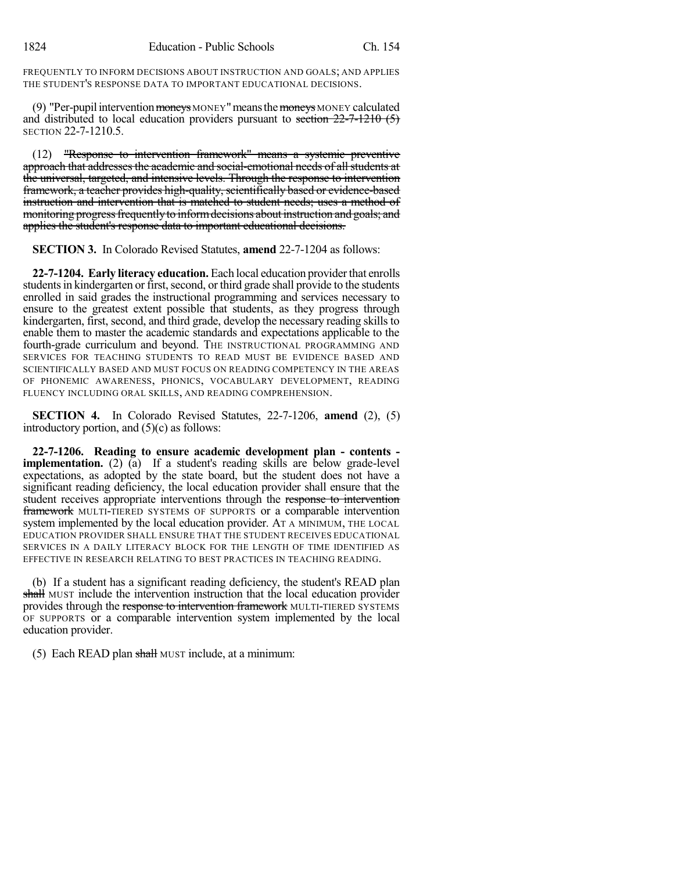FREQUENTLY TO INFORM DECISIONS ABOUT INSTRUCTION AND GOALS; AND APPLIES THE STUDENT'S RESPONSE DATA TO IMPORTANT EDUCATIONAL DECISIONS.

(9) "Per-pupil intervention  $\frac{1}{2}$  moneys MONEY" means the  $\frac{1}{2}$  moneys MONEY calculated and distributed to local education providers pursuant to section  $22-7-1210$  (5) SECTION 22-7-1210.5.

(12) "Response to intervention framework" means a systemic preventive approach that addresses the academic and social-emotional needs of all students at the universal, targeted, and intensive levels. Through the response to intervention framework, a teacher provides high-quality, scientifically based or evidence-based instruction and intervention that is matched to student needs; uses a method of monitoring progress frequently to inform decisions about instruction and goals; and applies the student's response data to important educational decisions.

**SECTION 3.** In Colorado Revised Statutes, **amend** 22-7-1204 as follows:

**22-7-1204. Early literacy education.** Each local education providerthat enrolls students in kindergarten or first, second, or third grade shall provide to the students enrolled in said grades the instructional programming and services necessary to ensure to the greatest extent possible that students, as they progress through kindergarten, first, second, and third grade, develop the necessary reading skills to enable them to master the academic standards and expectations applicable to the fourth-grade curriculum and beyond. THE INSTRUCTIONAL PROGRAMMING AND SERVICES FOR TEACHING STUDENTS TO READ MUST BE EVIDENCE BASED AND SCIENTIFICALLY BASED AND MUST FOCUS ON READING COMPETENCY IN THE AREAS OF PHONEMIC AWARENESS, PHONICS, VOCABULARY DEVELOPMENT, READING FLUENCY INCLUDING ORAL SKILLS, AND READING COMPREHENSION.

**SECTION 4.** In Colorado Revised Statutes, 22-7-1206, **amend** (2), (5) introductory portion, and (5)(c) as follows:

**22-7-1206. Reading to ensure academic development plan - contents implementation.** (2) (a) If a student's reading skills are below grade-level expectations, as adopted by the state board, but the student does not have a significant reading deficiency, the local education provider shall ensure that the student receives appropriate interventions through the response to intervention framework MULTI-TIERED SYSTEMS OF SUPPORTS or a comparable intervention system implemented by the local education provider. AT A MINIMUM, THE LOCAL EDUCATION PROVIDER SHALL ENSURE THAT THE STUDENT RECEIVES EDUCATIONAL SERVICES IN A DAILY LITERACY BLOCK FOR THE LENGTH OF TIME IDENTIFIED AS EFFECTIVE IN RESEARCH RELATING TO BEST PRACTICES IN TEACHING READING.

(b) If a student has a significant reading deficiency, the student's READ plan shall MUST include the intervention instruction that the local education provider provides through the response to intervention framework MULTI-TIERED SYSTEMS OF SUPPORTS or a comparable intervention system implemented by the local education provider.

(5) Each READ plan shall MUST include, at a minimum: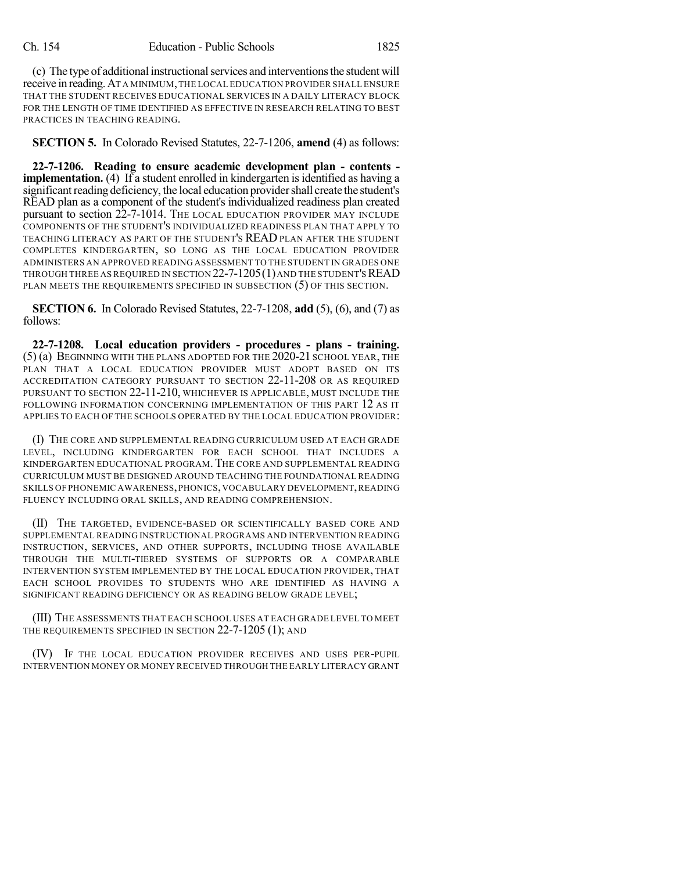(c) The type of additional instructional services and interventions the student will receive in reading.AT A MINIMUM,THE LOCAL EDUCATION PROVIDER SHALL ENSURE THAT THE STUDENT RECEIVES EDUCATIONAL SERVICES IN A DAILY LITERACY BLOCK FOR THE LENGTH OF TIME IDENTIFIED AS EFFECTIVE IN RESEARCH RELATING TO BEST PRACTICES IN TEACHING READING.

**SECTION 5.** In Colorado Revised Statutes, 22-7-1206, **amend** (4) as follows:

**22-7-1206. Reading to ensure academic development plan - contents implementation.** (4) If a student enrolled in kindergarten is identified as having a significant reading deficiency, the local education provider shall create the student's READ plan as a component of the student's individualized readiness plan created pursuant to section 22-7-1014. THE LOCAL EDUCATION PROVIDER MAY INCLUDE COMPONENTS OF THE STUDENT'S INDIVIDUALIZED READINESS PLAN THAT APPLY TO TEACHING LITERACY AS PART OF THE STUDENT'S READ PLAN AFTER THE STUDENT COMPLETES KINDERGARTEN, SO LONG AS THE LOCAL EDUCATION PROVIDER ADMINISTERS AN APPROVED READING ASSESSMENT TO THE STUDENT IN GRADES ONE THROUGH THREE AS REQUIRED IN SECTION  $22$ -7-1205(1) and the student's READ PLAN MEETS THE REQUIREMENTS SPECIFIED IN SUBSECTION (5) OF THIS SECTION.

**SECTION 6.** In Colorado Revised Statutes, 22-7-1208, **add** (5), (6), and (7) as follows:

**22-7-1208. Local education providers - procedures - plans - training.** (5) (a) BEGINNING WITH THE PLANS ADOPTED FOR THE 2020-21 SCHOOL YEAR, THE PLAN THAT A LOCAL EDUCATION PROVIDER MUST ADOPT BASED ON ITS ACCREDITATION CATEGORY PURSUANT TO SECTION 22-11-208 OR AS REQUIRED PURSUANT TO SECTION 22-11-210, WHICHEVER IS APPLICABLE, MUST INCLUDE THE FOLLOWING INFORMATION CONCERNING IMPLEMENTATION OF THIS PART 12 AS IT APPLIES TO EACH OF THE SCHOOLS OPERATED BY THE LOCAL EDUCATION PROVIDER:

(I) THE CORE AND SUPPLEMENTAL READING CURRICULUM USED AT EACH GRADE LEVEL, INCLUDING KINDERGARTEN FOR EACH SCHOOL THAT INCLUDES A KINDERGARTEN EDUCATIONAL PROGRAM.THE CORE AND SUPPLEMENTAL READING CURRICULUM MUST BE DESIGNED AROUND TEACHING THE FOUNDATIONAL READING SKILLS OF PHONEMIC AWARENESS,PHONICS,VOCABULARY DEVELOPMENT,READING FLUENCY INCLUDING ORAL SKILLS, AND READING COMPREHENSION.

(II) THE TARGETED, EVIDENCE-BASED OR SCIENTIFICALLY BASED CORE AND SUPPLEMENTAL READING INSTRUCTIONAL PROGRAMS AND INTERVENTION READING INSTRUCTION, SERVICES, AND OTHER SUPPORTS, INCLUDING THOSE AVAILABLE THROUGH THE MULTI-TIERED SYSTEMS OF SUPPORTS OR A COMPARABLE INTERVENTION SYSTEM IMPLEMENTED BY THE LOCAL EDUCATION PROVIDER, THAT EACH SCHOOL PROVIDES TO STUDENTS WHO ARE IDENTIFIED AS HAVING A SIGNIFICANT READING DEFICIENCY OR AS READING BELOW GRADE LEVEL;

(III) THE ASSESSMENTS THAT EACH SCHOOL USES AT EACH GRADE LEVEL TO MEET THE REQUIREMENTS SPECIFIED IN SECTION 22-7-1205 (1); AND

(IV) IF THE LOCAL EDUCATION PROVIDER RECEIVES AND USES PER-PUPIL INTERVENTION MONEY OR MONEY RECEIVED THROUGH THE EARLY LITERACY GRANT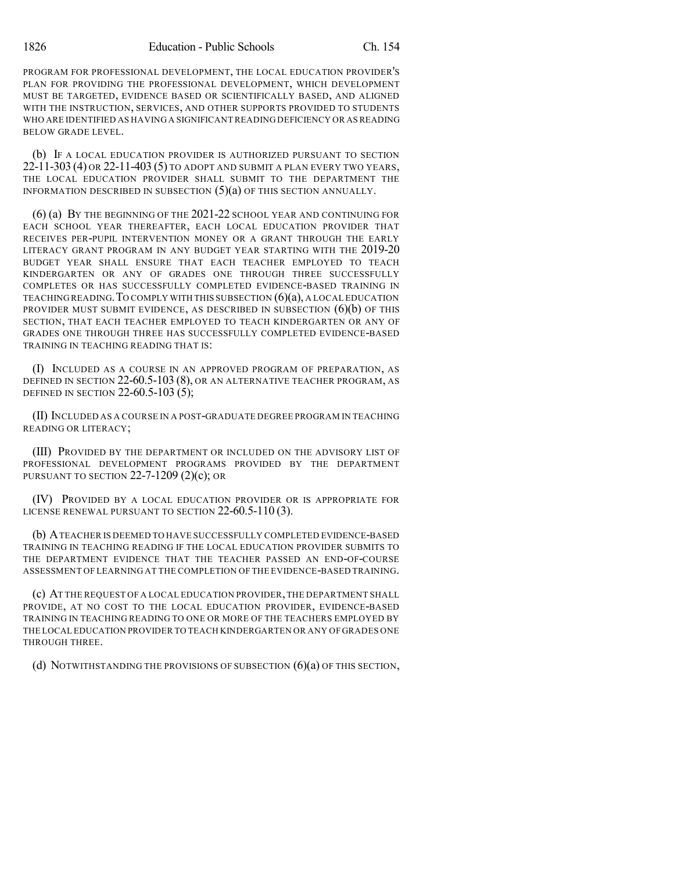PROGRAM FOR PROFESSIONAL DEVELOPMENT, THE LOCAL EDUCATION PROVIDER'S PLAN FOR PROVIDING THE PROFESSIONAL DEVELOPMENT, WHICH DEVELOPMENT MUST BE TARGETED, EVIDENCE BASED OR SCIENTIFICALLY BASED, AND ALIGNED WITH THE INSTRUCTION, SERVICES, AND OTHER SUPPORTS PROVIDED TO STUDENTS WHO ARE IDENTIFIED AS HAVING A SIGNIFICANTREADING DEFICIENCY OR ASREADING BELOW GRADE LEVEL.

(b) IF A LOCAL EDUCATION PROVIDER IS AUTHORIZED PURSUANT TO SECTION 22-11-303 (4) OR 22-11-403 (5) TO ADOPT AND SUBMIT A PLAN EVERY TWO YEARS, THE LOCAL EDUCATION PROVIDER SHALL SUBMIT TO THE DEPARTMENT THE INFORMATION DESCRIBED IN SUBSECTION (5)(a) OF THIS SECTION ANNUALLY.

(6) (a) BY THE BEGINNING OF THE 2021-22 SCHOOL YEAR AND CONTINUING FOR EACH SCHOOL YEAR THEREAFTER, EACH LOCAL EDUCATION PROVIDER THAT RECEIVES PER-PUPIL INTERVENTION MONEY OR A GRANT THROUGH THE EARLY LITERACY GRANT PROGRAM IN ANY BUDGET YEAR STARTING WITH THE 2019-20 BUDGET YEAR SHALL ENSURE THAT EACH TEACHER EMPLOYED TO TEACH KINDERGARTEN OR ANY OF GRADES ONE THROUGH THREE SUCCESSFULLY COMPLETES OR HAS SUCCESSFULLY COMPLETED EVIDENCE-BASED TRAINING IN TEACHING READING. TO COMPLY WITH THIS SUBSECTION  $(6)(a)$ , A LOCAL EDUCATION PROVIDER MUST SUBMIT EVIDENCE, AS DESCRIBED IN SUBSECTION  $(6)(b)$  OF THIS SECTION, THAT EACH TEACHER EMPLOYED TO TEACH KINDERGARTEN OR ANY OF GRADES ONE THROUGH THREE HAS SUCCESSFULLY COMPLETED EVIDENCE-BASED TRAINING IN TEACHING READING THAT IS:

(I) INCLUDED AS A COURSE IN AN APPROVED PROGRAM OF PREPARATION, AS DEFINED IN SECTION 22-60.5-103 (8), OR AN ALTERNATIVE TEACHER PROGRAM, AS DEFINED IN SECTION 22-60.5-103  $(5)$ ;

(II) INCLUDED AS A COURSE IN A POST-GRADUATE DEGREE PROGRAM IN TEACHING READING OR LITERACY;

(III) PROVIDED BY THE DEPARTMENT OR INCLUDED ON THE ADVISORY LIST OF PROFESSIONAL DEVELOPMENT PROGRAMS PROVIDED BY THE DEPARTMENT PURSUANT TO SECTION  $22$ -7-1209 (2)(c); OR

(IV) PROVIDED BY A LOCAL EDUCATION PROVIDER OR IS APPROPRIATE FOR LICENSE RENEWAL PURSUANT TO SECTION 22-60.5-110 (3).

(b) ATEACHER IS DEEMED TO HAVE SUCCESSFULLY COMPLETED EVIDENCE-BASED TRAINING IN TEACHING READING IF THE LOCAL EDUCATION PROVIDER SUBMITS TO THE DEPARTMENT EVIDENCE THAT THE TEACHER PASSED AN END-OF-COURSE ASSESSMENT OF LEARNING AT THE COMPLETION OF THE EVIDENCE-BASED TRAINING.

(c) AT THE REQUEST OF A LOCAL EDUCATION PROVIDER,THE DEPARTMENT SHALL PROVIDE, AT NO COST TO THE LOCAL EDUCATION PROVIDER, EVIDENCE-BASED TRAINING IN TEACHING READING TO ONE OR MORE OF THE TEACHERS EMPLOYED BY THE LOCAL EDUCATION PROVIDER TO TEACH KINDERGARTEN OR ANY OF GRADES ONE THROUGH THREE.

(d) NOTWITHSTANDING THE PROVISIONS OF SUBSECTION (6)(a) OF THIS SECTION,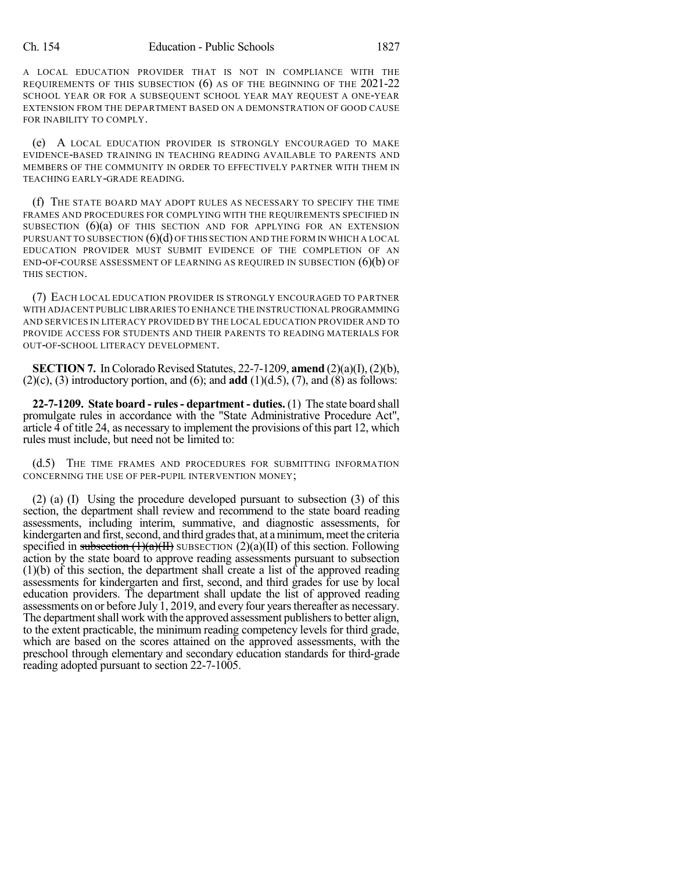A LOCAL EDUCATION PROVIDER THAT IS NOT IN COMPLIANCE WITH THE REQUIREMENTS OF THIS SUBSECTION (6) AS OF THE BEGINNING OF THE 2021-22 SCHOOL YEAR OR FOR A SUBSEQUENT SCHOOL YEAR MAY REQUEST A ONE-YEAR EXTENSION FROM THE DEPARTMENT BASED ON A DEMONSTRATION OF GOOD CAUSE FOR INABILITY TO COMPLY.

(e) A LOCAL EDUCATION PROVIDER IS STRONGLY ENCOURAGED TO MAKE EVIDENCE-BASED TRAINING IN TEACHING READING AVAILABLE TO PARENTS AND MEMBERS OF THE COMMUNITY IN ORDER TO EFFECTIVELY PARTNER WITH THEM IN TEACHING EARLY-GRADE READING.

(f) THE STATE BOARD MAY ADOPT RULES AS NECESSARY TO SPECIFY THE TIME FRAMES AND PROCEDURES FOR COMPLYING WITH THE REQUIREMENTS SPECIFIED IN SUBSECTION  $(6)(a)$  of this section and for applying for an extension PURSUANT TO SUBSECTION  $(6)(d)$  OF THIS SECTION AND THE FORM IN WHICH A LOCAL EDUCATION PROVIDER MUST SUBMIT EVIDENCE OF THE COMPLETION OF AN END-OF-COURSE ASSESSMENT OF LEARNING AS REQUIRED IN SUBSECTION  $(6)(b)$  OF THIS SECTION.

(7) EACH LOCAL EDUCATION PROVIDER IS STRONGLY ENCOURAGED TO PARTNER WITH ADJACENT PUBLIC LIBRARIES TO ENHANCE THE INSTRUCTIONAL PROGRAMMING AND SERVICES IN LITERACY PROVIDED BY THE LOCAL EDUCATION PROVIDER AND TO PROVIDE ACCESS FOR STUDENTS AND THEIR PARENTS TO READING MATERIALS FOR OUT-OF-SCHOOL LITERACY DEVELOPMENT.

**SECTION 7.** In Colorado Revised Statutes,  $22-7-1209$ , **amend**  $(2)(a)(f)$ ,  $(2)(b)$ ,  $(2)(c)$ ,  $(3)$  introductory portion, and  $(6)$ ; and **add**  $(1)(d.5)$ ,  $(7)$ , and  $(8)$  as follows:

**22-7-1209. State board - rules- department - duties.** (1) The state board shall promulgate rules in accordance with the "State Administrative Procedure Act", article 4 of title 24, as necessary to implement the provisions of this part 12, which rules must include, but need not be limited to:

(d.5) THE TIME FRAMES AND PROCEDURES FOR SUBMITTING INFORMATION CONCERNING THE USE OF PER-PUPIL INTERVENTION MONEY;

(2) (a) (I) Using the procedure developed pursuant to subsection (3) of this section, the department shall review and recommend to the state board reading assessments, including interim, summative, and diagnostic assessments, for kindergarten and first, second, and third grades that, at a minimum, meet the criteria specified in subsection  $(1)(a)(H)$  SUBSECTION  $(2)(a)(H)$  of this section. Following action by the state board to approve reading assessments pursuant to subsection (1)(b) of this section, the department shall create a list of the approved reading assessments for kindergarten and first, second, and third grades for use by local education providers. The department shall update the list of approved reading assessments on or before July 1, 2019, and every four yearsthereafter as necessary. The department shall work with the approved assessment publishers to better align, to the extent practicable, the minimum reading competency levels for third grade, which are based on the scores attained on the approved assessments, with the preschool through elementary and secondary education standards for third-grade reading adopted pursuant to section 22-7-1005.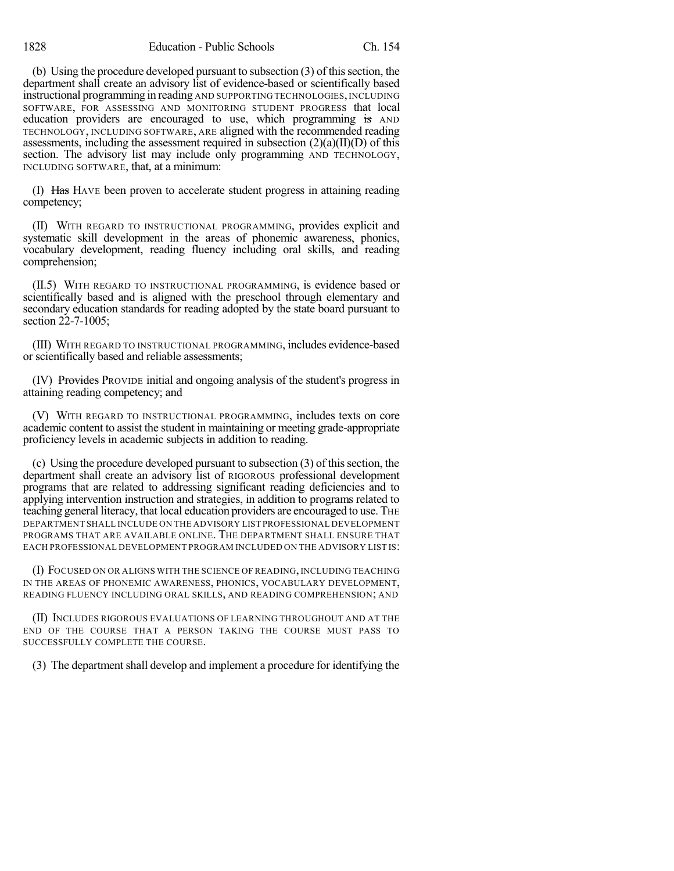(b) Using the procedure developed pursuant to subsection  $(3)$  of this section, the department shall create an advisory list of evidence-based or scientifically based instructional programming in reading AND SUPPORTING TECHNOLOGIES,INCLUDING SOFTWARE, FOR ASSESSING AND MONITORING STUDENT PROGRESS that local education providers are encouraged to use, which programming is AND TECHNOLOGY, INCLUDING SOFTWARE, ARE aligned with the recommended reading assessments, including the assessment required in subsection  $(2)(a)(II)(D)$  of this section. The advisory list may include only programming AND TECHNOLOGY, INCLUDING SOFTWARE, that, at a minimum:

(I) Has HAVE been proven to accelerate student progress in attaining reading competency;

(II) WITH REGARD TO INSTRUCTIONAL PROGRAMMING, provides explicit and systematic skill development in the areas of phonemic awareness, phonics, vocabulary development, reading fluency including oral skills, and reading comprehension;

(II.5) WITH REGARD TO INSTRUCTIONAL PROGRAMMING, is evidence based or scientifically based and is aligned with the preschool through elementary and secondary education standards for reading adopted by the state board pursuant to section 22-7-1005;

(III) WITH REGARD TO INSTRUCTIONAL PROGRAMMING, includes evidence-based or scientifically based and reliable assessments;

(IV) Provides PROVIDE initial and ongoing analysis of the student's progress in attaining reading competency; and

(V) WITH REGARD TO INSTRUCTIONAL PROGRAMMING, includes texts on core academic content to assist the student in maintaining or meeting grade-appropriate proficiency levels in academic subjects in addition to reading.

(c) Using the procedure developed pursuant to subsection (3) of thissection, the department shall create an advisory list of RIGOROUS professional development programs that are related to addressing significant reading deficiencies and to applying intervention instruction and strategies, in addition to programs related to teaching general literacy, that local education providers are encouraged to use. THE DEPARTMENT SHALL INCLUDE ON THE ADVISORY LIST PROFESSIONAL DEVELOPMENT PROGRAMS THAT ARE AVAILABLE ONLINE. THE DEPARTMENT SHALL ENSURE THAT EACH PROFESSIONAL DEVELOPMENT PROGRAM INCLUDED ON THE ADVISORY LIST IS:

(I) FOCUSED ON OR ALIGNS WITH THE SCIENCE OF READING, INCLUDING TEACHING IN THE AREAS OF PHONEMIC AWARENESS, PHONICS, VOCABULARY DEVELOPMENT, READING FLUENCY INCLUDING ORAL SKILLS, AND READING COMPREHENSION; AND

(II) INCLUDES RIGOROUS EVALUATIONS OF LEARNING THROUGHOUT AND AT THE END OF THE COURSE THAT A PERSON TAKING THE COURSE MUST PASS TO SUCCESSFULLY COMPLETE THE COURSE.

(3) The department shall develop and implement a procedure for identifying the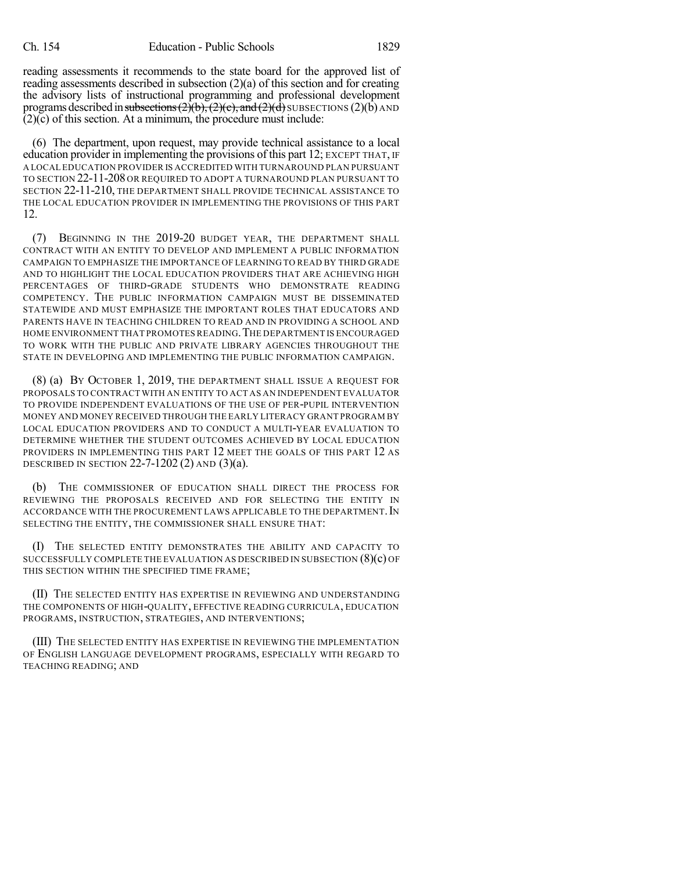reading assessments it recommends to the state board for the approved list of reading assessments described in subsection (2)(a) of this section and for creating the advisory lists of instructional programming and professional development programs described in subsections  $(2)(b)$ ,  $(2)(c)$ , and  $(2)(d)$  SUBSECTIONS  $(2)(b)$  AND (2)(c) of this section. At a minimum, the procedure must include:

(6) The department, upon request, may provide technical assistance to a local education provider in implementing the provisions of this part 12; EXCEPT THAT, IF A LOCAL EDUCATION PROVIDER IS ACCREDITED WITH TURNAROUND PLAN PURSUANT TO SECTION 22-11-208 OR REQUIRED TO ADOPT A TURNAROUND PLAN PURSUANT TO SECTION 22-11-210, THE DEPARTMENT SHALL PROVIDE TECHNICAL ASSISTANCE TO THE LOCAL EDUCATION PROVIDER IN IMPLEMENTING THE PROVISIONS OF THIS PART 12.

(7) BEGINNING IN THE 2019-20 BUDGET YEAR, THE DEPARTMENT SHALL CONTRACT WITH AN ENTITY TO DEVELOP AND IMPLEMENT A PUBLIC INFORMATION CAMPAIGN TO EMPHASIZE THE IMPORTANCE OF LEARNING TO READ BY THIRD GRADE AND TO HIGHLIGHT THE LOCAL EDUCATION PROVIDERS THAT ARE ACHIEVING HIGH PERCENTAGES OF THIRD-GRADE STUDENTS WHO DEMONSTRATE READING COMPETENCY. THE PUBLIC INFORMATION CAMPAIGN MUST BE DISSEMINATED STATEWIDE AND MUST EMPHASIZE THE IMPORTANT ROLES THAT EDUCATORS AND PARENTS HAVE IN TEACHING CHILDREN TO READ AND IN PROVIDING A SCHOOL AND HOME ENVIRONMENT THAT PROMOTES READING.THE DEPARTMENT IS ENCOURAGED TO WORK WITH THE PUBLIC AND PRIVATE LIBRARY AGENCIES THROUGHOUT THE STATE IN DEVELOPING AND IMPLEMENTING THE PUBLIC INFORMATION CAMPAIGN.

(8) (a) BY OCTOBER 1, 2019, THE DEPARTMENT SHALL ISSUE A REQUEST FOR PROPOSALS TO CONTRACT WITH AN ENTITY TO ACT AS AN INDEPENDENT EVALUATOR TO PROVIDE INDEPENDENT EVALUATIONS OF THE USE OF PER-PUPIL INTERVENTION MONEY AND MONEY RECEIVED THROUGH THE EARLY LITERACY GRANT PROGRAM BY LOCAL EDUCATION PROVIDERS AND TO CONDUCT A MULTI-YEAR EVALUATION TO DETERMINE WHETHER THE STUDENT OUTCOMES ACHIEVED BY LOCAL EDUCATION PROVIDERS IN IMPLEMENTING THIS PART 12 MEET THE GOALS OF THIS PART 12 AS DESCRIBED IN SECTION 22-7-1202 (2) AND  $(3)(a)$ .

(b) THE COMMISSIONER OF EDUCATION SHALL DIRECT THE PROCESS FOR REVIEWING THE PROPOSALS RECEIVED AND FOR SELECTING THE ENTITY IN ACCORDANCE WITH THE PROCUREMENT LAWS APPLICABLE TO THE DEPARTMENT. IN SELECTING THE ENTITY, THE COMMISSIONER SHALL ENSURE THAT:

(I) THE SELECTED ENTITY DEMONSTRATES THE ABILITY AND CAPACITY TO SUCCESSFULLY COMPLETE THE EVALUATION AS DESCRIBED IN SUBSECTION (8)(c) OF THIS SECTION WITHIN THE SPECIFIED TIME FRAME;

(II) THE SELECTED ENTITY HAS EXPERTISE IN REVIEWING AND UNDERSTANDING THE COMPONENTS OF HIGH-QUALITY, EFFECTIVE READING CURRICULA, EDUCATION PROGRAMS, INSTRUCTION, STRATEGIES, AND INTERVENTIONS;

(III) THE SELECTED ENTITY HAS EXPERTISE IN REVIEWING THE IMPLEMENTATION OF ENGLISH LANGUAGE DEVELOPMENT PROGRAMS, ESPECIALLY WITH REGARD TO TEACHING READING; AND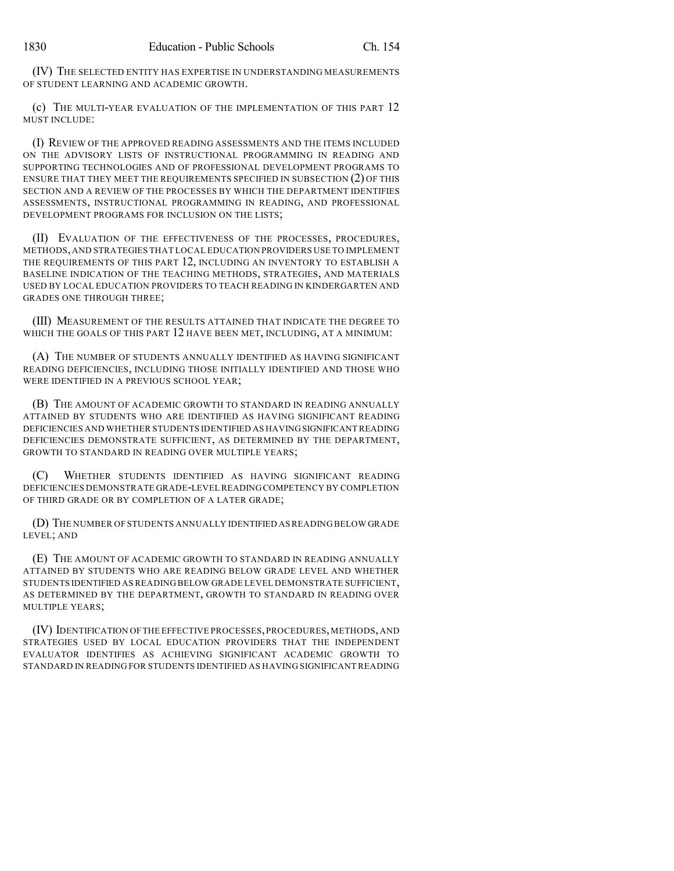(IV) THE SELECTED ENTITY HAS EXPERTISE IN UNDERSTANDING MEASUREMENTS OF STUDENT LEARNING AND ACADEMIC GROWTH.

(c) THE MULTI-YEAR EVALUATION OF THE IMPLEMENTATION OF THIS PART 12 MUST INCLUDE:

(I) REVIEW OF THE APPROVED READING ASSESSMENTS AND THE ITEMS INCLUDED ON THE ADVISORY LISTS OF INSTRUCTIONAL PROGRAMMING IN READING AND SUPPORTING TECHNOLOGIES AND OF PROFESSIONAL DEVELOPMENT PROGRAMS TO ENSURE THAT THEY MEET THE REQUIREMENTS SPECIFIED IN SUBSECTION (2) OF THIS SECTION AND A REVIEW OF THE PROCESSES BY WHICH THE DEPARTMENT IDENTIFIES ASSESSMENTS, INSTRUCTIONAL PROGRAMMING IN READING, AND PROFESSIONAL DEVELOPMENT PROGRAMS FOR INCLUSION ON THE LISTS;

(II) EVALUATION OF THE EFFECTIVENESS OF THE PROCESSES, PROCEDURES, METHODS,AND STRATEGIES THAT LOCAL EDUCATION PROVIDERS USE TO IMPLEMENT THE REQUIREMENTS OF THIS PART 12, INCLUDING AN INVENTORY TO ESTABLISH A BASELINE INDICATION OF THE TEACHING METHODS, STRATEGIES, AND MATERIALS USED BY LOCAL EDUCATION PROVIDERS TO TEACH READING IN KINDERGARTEN AND GRADES ONE THROUGH THREE;

(III) MEASUREMENT OF THE RESULTS ATTAINED THAT INDICATE THE DEGREE TO WHICH THE GOALS OF THIS PART 12 HAVE BEEN MET, INCLUDING, AT A MINIMUM:

(A) THE NUMBER OF STUDENTS ANNUALLY IDENTIFIED AS HAVING SIGNIFICANT READING DEFICIENCIES, INCLUDING THOSE INITIALLY IDENTIFIED AND THOSE WHO WERE IDENTIFIED IN A PREVIOUS SCHOOL YEAR;

(B) THE AMOUNT OF ACADEMIC GROWTH TO STANDARD IN READING ANNUALLY ATTAINED BY STUDENTS WHO ARE IDENTIFIED AS HAVING SIGNIFICANT READING DEFICIENCIES AND WHETHER STUDENTS IDENTIFIED AS HAVINGSIGNIFICANT READING DEFICIENCIES DEMONSTRATE SUFFICIENT, AS DETERMINED BY THE DEPARTMENT, GROWTH TO STANDARD IN READING OVER MULTIPLE YEARS;

(C) WHETHER STUDENTS IDENTIFIED AS HAVING SIGNIFICANT READING DEFICIENCIES DEMONSTRATE GRADE-LEVEL READINGCOMPETENCY BY COMPLETION OF THIRD GRADE OR BY COMPLETION OF A LATER GRADE;

(D) THE NUMBER OF STUDENTS ANNUALLY IDENTIFIED ASREADING BELOW GRADE LEVEL; AND

(E) THE AMOUNT OF ACADEMIC GROWTH TO STANDARD IN READING ANNUALLY ATTAINED BY STUDENTS WHO ARE READING BELOW GRADE LEVEL AND WHETHER STUDENTS IDENTIFIED AS READING BELOW GRADE LEVEL DEMONSTRATE SUFFICIENT, AS DETERMINED BY THE DEPARTMENT, GROWTH TO STANDARD IN READING OVER MULTIPLE YEARS;

(IV) IDENTIFICATION OFTHE EFFECTIVE PROCESSES,PROCEDURES,METHODS,AND STRATEGIES USED BY LOCAL EDUCATION PROVIDERS THAT THE INDEPENDENT EVALUATOR IDENTIFIES AS ACHIEVING SIGNIFICANT ACADEMIC GROWTH TO STANDARD IN READING FOR STUDENTS IDENTIFIED AS HAVING SIGNIFICANT READING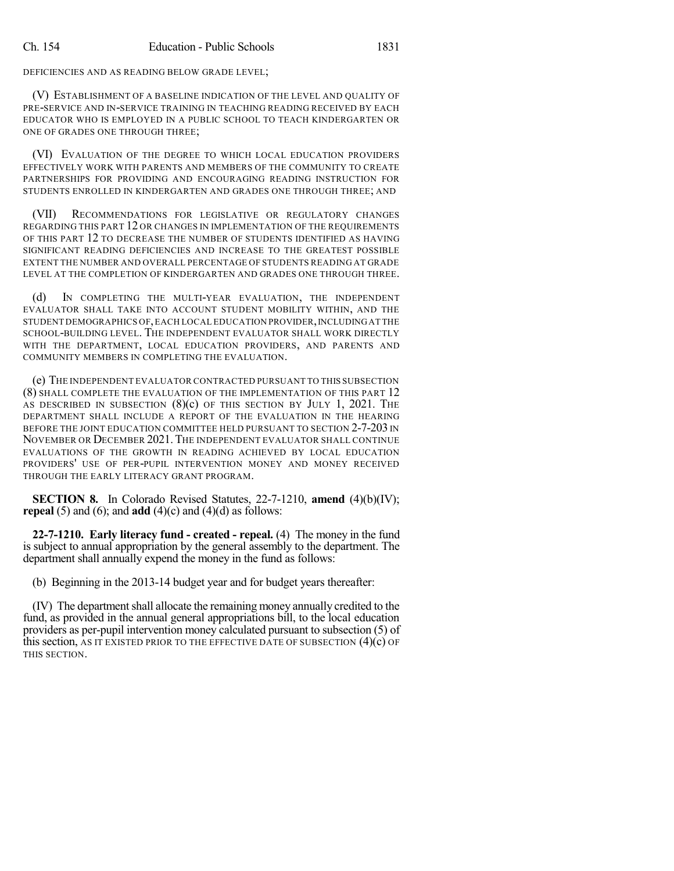DEFICIENCIES AND AS READING BELOW GRADE LEVEL;

(V) ESTABLISHMENT OF A BASELINE INDICATION OF THE LEVEL AND QUALITY OF PRE-SERVICE AND IN-SERVICE TRAINING IN TEACHING READING RECEIVED BY EACH EDUCATOR WHO IS EMPLOYED IN A PUBLIC SCHOOL TO TEACH KINDERGARTEN OR ONE OF GRADES ONE THROUGH THREE;

(VI) EVALUATION OF THE DEGREE TO WHICH LOCAL EDUCATION PROVIDERS EFFECTIVELY WORK WITH PARENTS AND MEMBERS OF THE COMMUNITY TO CREATE PARTNERSHIPS FOR PROVIDING AND ENCOURAGING READING INSTRUCTION FOR STUDENTS ENROLLED IN KINDERGARTEN AND GRADES ONE THROUGH THREE; AND

(VII) RECOMMENDATIONS FOR LEGISLATIVE OR REGULATORY CHANGES REGARDING THIS PART 12 OR CHANGES IN IMPLEMENTATION OF THE REQUIREMENTS OF THIS PART 12 TO DECREASE THE NUMBER OF STUDENTS IDENTIFIED AS HAVING SIGNIFICANT READING DEFICIENCIES AND INCREASE TO THE GREATEST POSSIBLE EXTENT THE NUMBER AND OVERALL PERCENTAGE OF STUDENTS READING AT GRADE LEVEL AT THE COMPLETION OF KINDERGARTEN AND GRADES ONE THROUGH THREE.

(d) IN COMPLETING THE MULTI-YEAR EVALUATION, THE INDEPENDENT EVALUATOR SHALL TAKE INTO ACCOUNT STUDENT MOBILITY WITHIN, AND THE STUDENT DEMOGRAPHICS OF,EACH LOCAL EDUCATION PROVIDER,INCLUDINGAT THE SCHOOL-BUILDING LEVEL. THE INDEPENDENT EVALUATOR SHALL WORK DIRECTLY WITH THE DEPARTMENT, LOCAL EDUCATION PROVIDERS, AND PARENTS AND COMMUNITY MEMBERS IN COMPLETING THE EVALUATION.

(e) THE INDEPENDENT EVALUATOR CONTRACTED PURSUANT TO THIS SUBSECTION (8) SHALL COMPLETE THE EVALUATION OF THE IMPLEMENTATION OF THIS PART 12 AS DESCRIBED IN SUBSECTION  $(8)(c)$  OF THIS SECTION BY JULY 1, 2021. THE DEPARTMENT SHALL INCLUDE A REPORT OF THE EVALUATION IN THE HEARING BEFORE THE JOINT EDUCATION COMMITTEE HELD PURSUANT TO SECTION 2-7-203 IN NOVEMBER OR DECEMBER 2021.THE INDEPENDENT EVALUATOR SHALL CONTINUE EVALUATIONS OF THE GROWTH IN READING ACHIEVED BY LOCAL EDUCATION PROVIDERS' USE OF PER-PUPIL INTERVENTION MONEY AND MONEY RECEIVED THROUGH THE EARLY LITERACY GRANT PROGRAM.

**SECTION 8.** In Colorado Revised Statutes, 22-7-1210, **amend** (4)(b)(IV); **repeal** (5) and (6); and **add** (4)(c) and (4)(d) as follows:

**22-7-1210. Early literacy fund - created - repeal.** (4) The money in the fund is subject to annual appropriation by the general assembly to the department. The department shall annually expend the money in the fund as follows:

(b) Beginning in the 2013-14 budget year and for budget years thereafter:

(IV) The departmentshall allocate the remaining money annually credited to the fund, as provided in the annual general appropriations bill, to the local education providers as per-pupil intervention money calculated pursuant to subsection (5) of this section, AS IT EXISTED PRIOR TO THE EFFECTIVE DATE OF SUBSECTION  $(4)(c)$  OF THIS SECTION.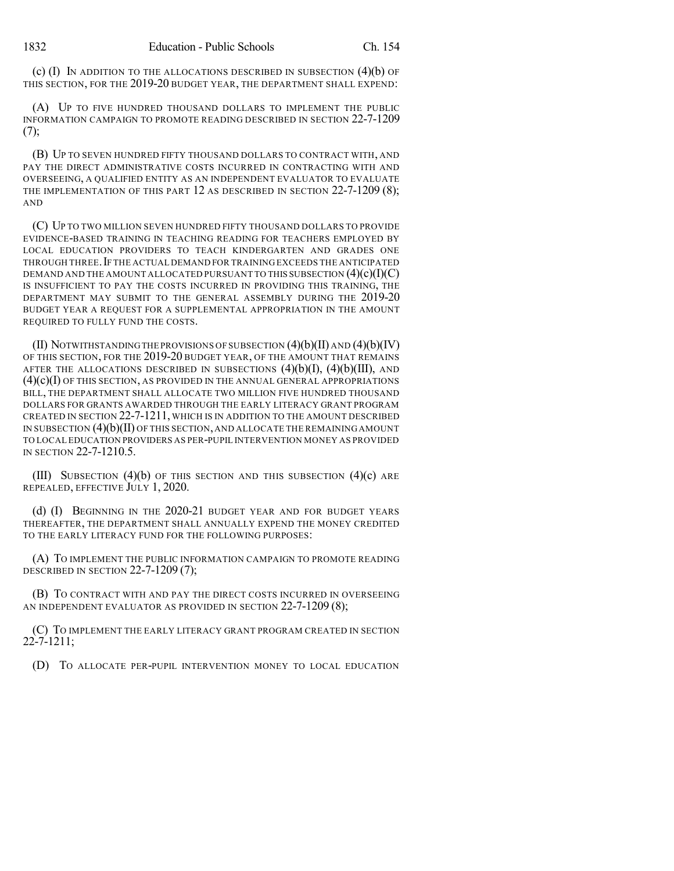(c)  $(I)$  In addition to the allocations described in subsection  $(4)(b)$  of THIS SECTION, FOR THE 2019-20 BUDGET YEAR, THE DEPARTMENT SHALL EXPEND:

(A) UP TO FIVE HUNDRED THOUSAND DOLLARS TO IMPLEMENT THE PUBLIC INFORMATION CAMPAIGN TO PROMOTE READING DESCRIBED IN SECTION 22-7-1209  $(7)$ :

(B) UP TO SEVEN HUNDRED FIFTY THOUSAND DOLLARS TO CONTRACT WITH, AND PAY THE DIRECT ADMINISTRATIVE COSTS INCURRED IN CONTRACTING WITH AND OVERSEEING, A QUALIFIED ENTITY AS AN INDEPENDENT EVALUATOR TO EVALUATE THE IMPLEMENTATION OF THIS PART 12 AS DESCRIBED IN SECTION 22-7-1209 (8); AND

(C) UP TO TWO MILLION SEVEN HUNDRED FIFTY THOUSAND DOLLARS TO PROVIDE EVIDENCE-BASED TRAINING IN TEACHING READING FOR TEACHERS EMPLOYED BY LOCAL EDUCATION PROVIDERS TO TEACH KINDERGARTEN AND GRADES ONE THROUGH THREE.IF THE ACTUAL DEMAND FOR TRAINING EXCEEDS THE ANTICIPATED DEMAND AND THE AMOUNT ALLOCATED PURSUANT TO THIS SUBSECTION  $(4)(c)(I)(C)$ IS INSUFFICIENT TO PAY THE COSTS INCURRED IN PROVIDING THIS TRAINING, THE DEPARTMENT MAY SUBMIT TO THE GENERAL ASSEMBLY DURING THE 2019-20 BUDGET YEAR A REQUEST FOR A SUPPLEMENTAL APPROPRIATION IN THE AMOUNT REQUIRED TO FULLY FUND THE COSTS.

(II) NOTWITHSTANDING THE PROVISIONS OF SUBSECTION  $(4)(b)(II)$  AND  $(4)(b)(IV)$ OF THIS SECTION, FOR THE 2019-20 BUDGET YEAR, OF THE AMOUNT THAT REMAINS AFTER THE ALLOCATIONS DESCRIBED IN SUBSECTIONS  $(4)(b)(I)$ ,  $(4)(b)(III)$ , AND  $(4)(c)(I)$  of this section, as provided in the annual general appropriations BILL, THE DEPARTMENT SHALL ALLOCATE TWO MILLION FIVE HUNDRED THOUSAND DOLLARS FOR GRANTS AWARDED THROUGH THE EARLY LITERACY GRANT PROGRAM CREATED IN SECTION 22-7-1211, WHICH IS IN ADDITION TO THE AMOUNT DESCRIBED IN SUBSECTION (4)(b)(II) OF THIS SECTION,AND ALLOCATE THE REMAININGAMOUNT TO LOCAL EDUCATION PROVIDERS AS PER-PUPIL INTERVENTION MONEY AS PROVIDED IN SECTION 22-7-1210.5.

(III) SUBSECTION  $(4)(b)$  OF THIS SECTION AND THIS SUBSECTION  $(4)(c)$  ARE REPEALED, EFFECTIVE JULY 1, 2020.

(d) (I) BEGINNING IN THE 2020-21 BUDGET YEAR AND FOR BUDGET YEARS THEREAFTER, THE DEPARTMENT SHALL ANNUALLY EXPEND THE MONEY CREDITED TO THE EARLY LITERACY FUND FOR THE FOLLOWING PURPOSES:

(A) TO IMPLEMENT THE PUBLIC INFORMATION CAMPAIGN TO PROMOTE READING DESCRIBED IN SECTION 22-7-1209 (7);

(B) TO CONTRACT WITH AND PAY THE DIRECT COSTS INCURRED IN OVERSEEING AN INDEPENDENT EVALUATOR AS PROVIDED IN SECTION 22-7-1209 (8);

(C) TO IMPLEMENT THE EARLY LITERACY GRANT PROGRAM CREATED IN SECTION 22-7-1211;

(D) TO ALLOCATE PER-PUPIL INTERVENTION MONEY TO LOCAL EDUCATION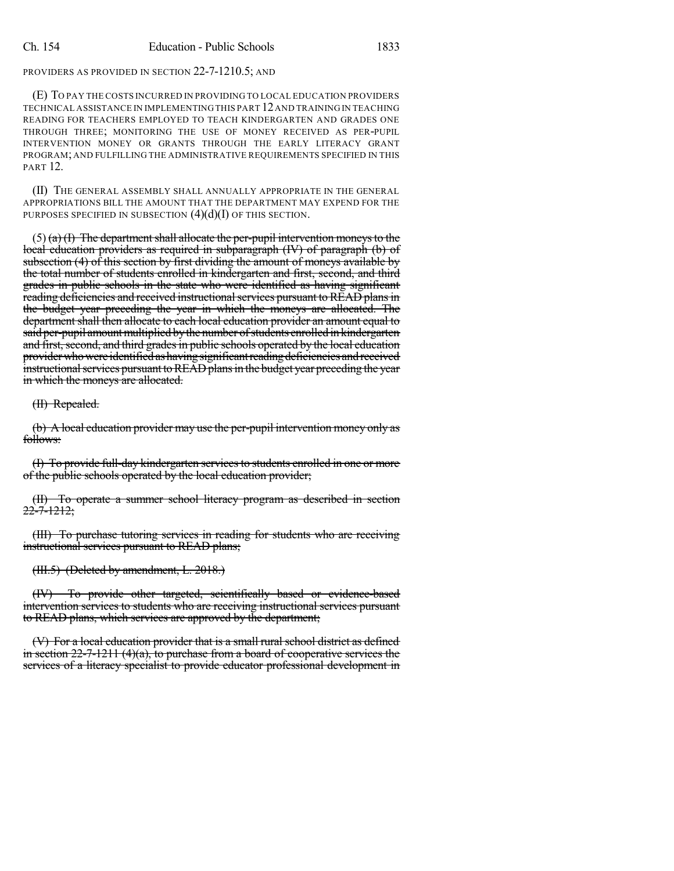PROVIDERS AS PROVIDED IN SECTION 22-7-1210.5; AND

(E) TO PAY THE COSTS INCURRED IN PROVIDING TO LOCAL EDUCATION PROVIDERS TECHNICAL ASSISTANCE IN IMPLEMENTINGTHIS PART 12AND TRAINING IN TEACHING READING FOR TEACHERS EMPLOYED TO TEACH KINDERGARTEN AND GRADES ONE THROUGH THREE; MONITORING THE USE OF MONEY RECEIVED AS PER-PUPIL INTERVENTION MONEY OR GRANTS THROUGH THE EARLY LITERACY GRANT PROGRAM; AND FULFILLING THE ADMINISTRATIVE REQUIREMENTS SPECIFIED IN THIS PART 12.

(II) THE GENERAL ASSEMBLY SHALL ANNUALLY APPROPRIATE IN THE GENERAL APPROPRIATIONS BILL THE AMOUNT THAT THE DEPARTMENT MAY EXPEND FOR THE PURPOSES SPECIFIED IN SUBSECTION  $(4)(d)(I)$  OF THIS SECTION.

 $(5)$  (a) (I) The department shall allocate the per-pupil intervention moneys to the local education providers as required in subparagraph (IV) of paragraph (b) of subsection (4) of this section by first dividing the amount of moneys available by the total number of students enrolled in kindergarten and first, second, and third grades in public schools in the state who were identified as having significant reading deficiencies and received instructional services pursuant to READ plans in the budget year preceding the year in which the moneys are allocated. The department shall then allocate to each local education provider an amount equal to said per-pupil amount multiplied by the number of students enrolled in kindergarten and first, second, and third grades in public schools operated by the local education provider who were identified as having significant reading deficiencies and received instructional services pursuant to READ plans in the budget year preceding the year in which the moneys are allocated.

(II) Repealed.

(b) A local education provider may use the per-pupil intervention money only as follows:

(I) To provide full-day kindergarten services to students enrolled in one or more of the public schools operated by the local education provider;

(II) To operate a summer school literacy program as described in section 22-7-1212;

(III) To purchase tutoring services in reading for students who are receiving instructional services pursuant to READ plans;

(III.5) (Deleted by amendment, L. 2018.)

(IV) To provide other targeted, scientifically based or evidence-based intervention services to students who are receiving instructional services pursuant to READ plans, which services are approved by the department;

(V) For a local education provider that is a small rural school district as defined in section  $22-7-1211$  (4)(a), to purchase from a board of cooperative services the services of a literacy specialist to provide educator professional development in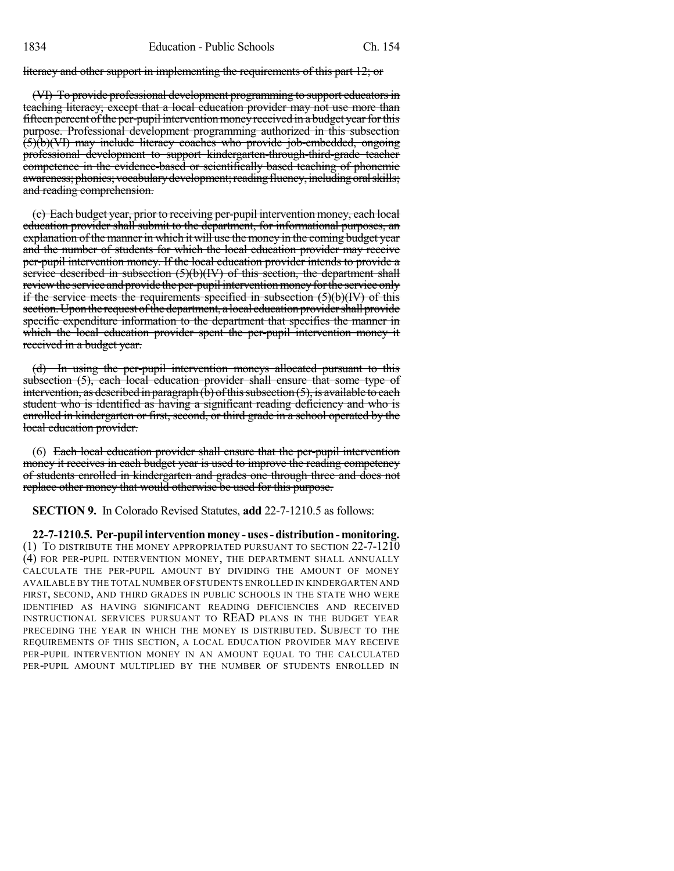literacy and other support in implementing the requirements of this part 12; or

(VI) To provide professional development programming to support educators in teaching literacy; except that a local education provider may not use more than fifteen percent of the per-pupil intervention money received in a budget year for this purpose. Professional development programming authorized in this subsection (5)(b)(VI) may include literacy coaches who provide job-embedded, ongoing professional development to support kindergarten-through-third-grade teacher competence in the evidence-based or scientifically based teaching of phonemic awareness; phonics; vocabulary development; reading fluency, including oral skills; and reading comprehension.

(c) Each budget year, prior to receiving per-pupil intervention money, each local education provider shall submit to the department, for informational purposes, an explanation of the manner in which it will use the money in the coming budget year and the number of students for which the local education provider may receive per-pupil intervention money. If the local education provider intends to provide a service described in subsection (5)(b)(IV) of this section, the department shall review the service and provide the per-pupil intervention money for the service only if the service meets the requirements specified in subsection  $(5)(b)(IV)$  of this section. Upon the request of the department, a local education provider shall provide specific expenditure information to the department that specifies the manner in which the local education provider spent the per-pupil intervention money it received in a budget year.

(d) In using the per-pupil intervention moneys allocated pursuant to this subsection (5), each local education provider shall ensure that some type of intervention, as described in paragraph  $(b)$  of this subsection  $(5)$ , is available to each student who is identified as having a significant reading deficiency and who is enrolled in kindergarten or first, second, or third grade in a school operated by the local education provider.

(6) Each local education provider shall ensure that the per-pupil intervention money it receives in each budget year is used to improve the reading competency of students enrolled in kindergarten and grades one through three and does not replace other money that would otherwise be used for this purpose.

**SECTION 9.** In Colorado Revised Statutes, **add** 22-7-1210.5 as follows:

**22-7-1210.5. Per-pupilintervention money -uses-distribution-monitoring.** (1) TO DISTRIBUTE THE MONEY APPROPRIATED PURSUANT TO SECTION 22-7-1210 (4) FOR PER-PUPIL INTERVENTION MONEY, THE DEPARTMENT SHALL ANNUALLY CALCULATE THE PER-PUPIL AMOUNT BY DIVIDING THE AMOUNT OF MONEY AVAILABLE BY THE TOTAL NUMBER OFSTUDENTS ENROLLED IN KINDERGARTEN AND FIRST, SECOND, AND THIRD GRADES IN PUBLIC SCHOOLS IN THE STATE WHO WERE IDENTIFIED AS HAVING SIGNIFICANT READING DEFICIENCIES AND RECEIVED INSTRUCTIONAL SERVICES PURSUANT TO READ PLANS IN THE BUDGET YEAR PRECEDING THE YEAR IN WHICH THE MONEY IS DISTRIBUTED. SUBJECT TO THE REQUIREMENTS OF THIS SECTION, A LOCAL EDUCATION PROVIDER MAY RECEIVE PER-PUPIL INTERVENTION MONEY IN AN AMOUNT EQUAL TO THE CALCULATED PER-PUPIL AMOUNT MULTIPLIED BY THE NUMBER OF STUDENTS ENROLLED IN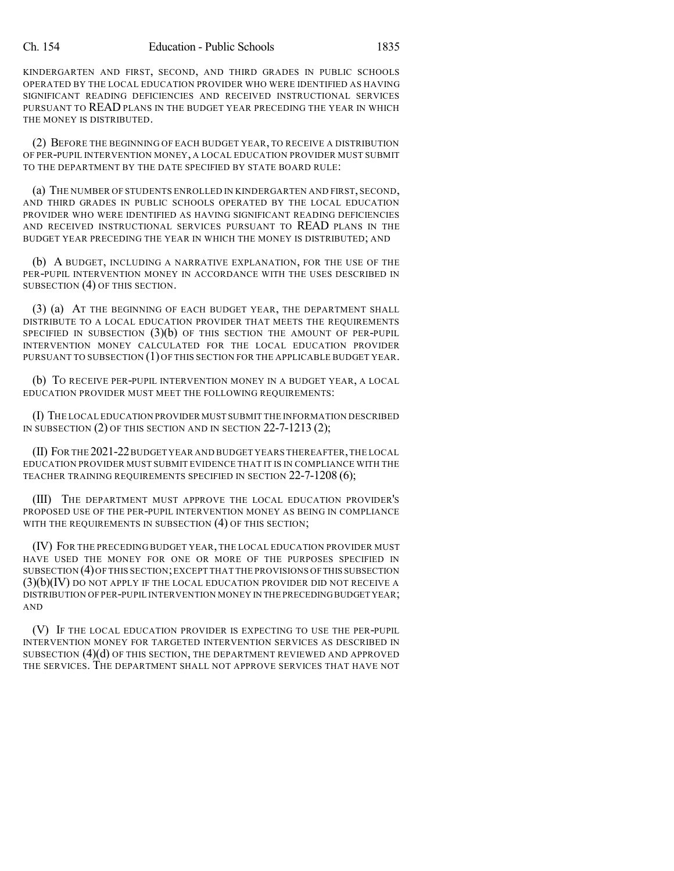KINDERGARTEN AND FIRST, SECOND, AND THIRD GRADES IN PUBLIC SCHOOLS OPERATED BY THE LOCAL EDUCATION PROVIDER WHO WERE IDENTIFIED AS HAVING SIGNIFICANT READING DEFICIENCIES AND RECEIVED INSTRUCTIONAL SERVICES PURSUANT TO READ PLANS IN THE BUDGET YEAR PRECEDING THE YEAR IN WHICH THE MONEY IS DISTRIBUTED.

(2) BEFORE THE BEGINNING OF EACH BUDGET YEAR, TO RECEIVE A DISTRIBUTION OF PER-PUPIL INTERVENTION MONEY, A LOCAL EDUCATION PROVIDER MUST SUBMIT TO THE DEPARTMENT BY THE DATE SPECIFIED BY STATE BOARD RULE:

(a) THE NUMBER OF STUDENTS ENROLLED IN KINDERGARTEN AND FIRST, SECOND, AND THIRD GRADES IN PUBLIC SCHOOLS OPERATED BY THE LOCAL EDUCATION PROVIDER WHO WERE IDENTIFIED AS HAVING SIGNIFICANT READING DEFICIENCIES AND RECEIVED INSTRUCTIONAL SERVICES PURSUANT TO READ PLANS IN THE BUDGET YEAR PRECEDING THE YEAR IN WHICH THE MONEY IS DISTRIBUTED; AND

(b) A BUDGET, INCLUDING A NARRATIVE EXPLANATION, FOR THE USE OF THE PER-PUPIL INTERVENTION MONEY IN ACCORDANCE WITH THE USES DESCRIBED IN SUBSECTION (4) OF THIS SECTION.

(3) (a) AT THE BEGINNING OF EACH BUDGET YEAR, THE DEPARTMENT SHALL DISTRIBUTE TO A LOCAL EDUCATION PROVIDER THAT MEETS THE REQUIREMENTS SPECIFIED IN SUBSECTION  $(3)(b)$  OF THIS SECTION THE AMOUNT OF PER-PUPIL INTERVENTION MONEY CALCULATED FOR THE LOCAL EDUCATION PROVIDER PURSUANT TO SUBSECTION (1) OF THIS SECTION FOR THE APPLICABLE BUDGET YEAR.

(b) TO RECEIVE PER-PUPIL INTERVENTION MONEY IN A BUDGET YEAR, A LOCAL EDUCATION PROVIDER MUST MEET THE FOLLOWING REQUIREMENTS:

(I) THE LOCAL EDUCATION PROVIDER MUST SUBMIT THE INFORMATION DESCRIBED IN SUBSECTION (2) OF THIS SECTION AND IN SECTION 22-7-1213 (2);

(II) FOR THE 2021-22BUDGET YEAR AND BUDGET YEARS THEREAFTER,THE LOCAL EDUCATION PROVIDER MUST SUBMIT EVIDENCE THAT IT IS IN COMPLIANCE WITH THE TEACHER TRAINING REQUIREMENTS SPECIFIED IN SECTION 22-7-1208 (6);

(III) THE DEPARTMENT MUST APPROVE THE LOCAL EDUCATION PROVIDER'S PROPOSED USE OF THE PER-PUPIL INTERVENTION MONEY AS BEING IN COMPLIANCE WITH THE REQUIREMENTS IN SUBSECTION (4) OF THIS SECTION;

(IV) FOR THE PRECEDING BUDGET YEAR, THE LOCAL EDUCATION PROVIDER MUST HAVE USED THE MONEY FOR ONE OR MORE OF THE PURPOSES SPECIFIED IN SUBSECTION (4)OF THIS SECTION;EXCEPT THAT THE PROVISIONS OFTHIS SUBSECTION  $(3)(b)(IV)$  do not apply if the local education provider did not receive a DISTRIBUTION OF PER-PUPIL INTERVENTION MONEY IN THE PRECEDINGBUDGET YEAR; AND

(V) IF THE LOCAL EDUCATION PROVIDER IS EXPECTING TO USE THE PER-PUPIL INTERVENTION MONEY FOR TARGETED INTERVENTION SERVICES AS DESCRIBED IN SUBSECTION  $(4)(d)$  OF THIS SECTION, THE DEPARTMENT REVIEWED AND APPROVED THE SERVICES. THE DEPARTMENT SHALL NOT APPROVE SERVICES THAT HAVE NOT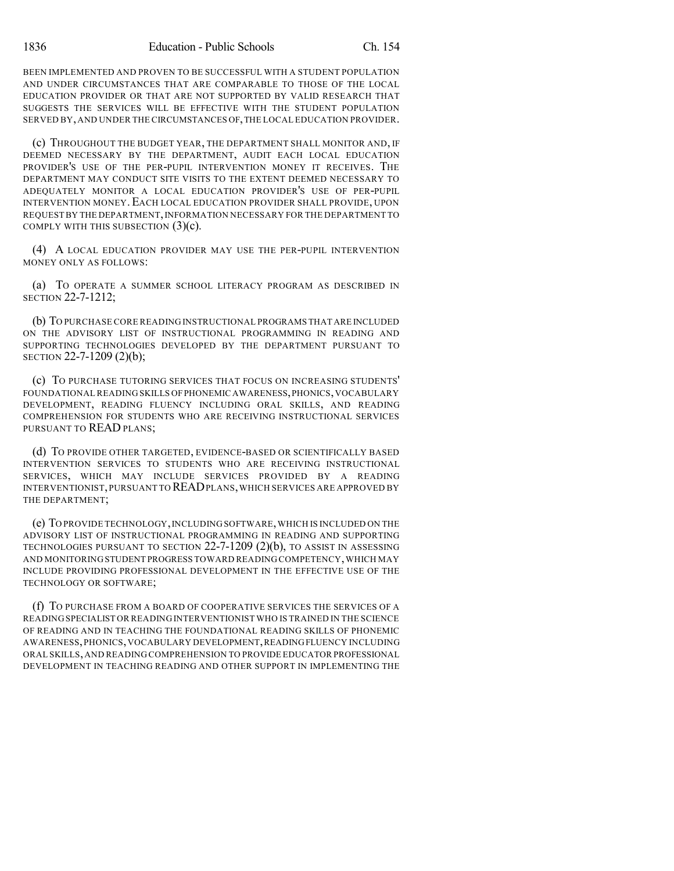BEEN IMPLEMENTED AND PROVEN TO BE SUCCESSFUL WITH A STUDENT POPULATION AND UNDER CIRCUMSTANCES THAT ARE COMPARABLE TO THOSE OF THE LOCAL EDUCATION PROVIDER OR THAT ARE NOT SUPPORTED BY VALID RESEARCH THAT SUGGESTS THE SERVICES WILL BE EFFECTIVE WITH THE STUDENT POPULATION SERVED BY,AND UNDER THE CIRCUMSTANCES OF,THE LOCAL EDUCATION PROVIDER.

(c) THROUGHOUT THE BUDGET YEAR, THE DEPARTMENT SHALL MONITOR AND, IF DEEMED NECESSARY BY THE DEPARTMENT, AUDIT EACH LOCAL EDUCATION PROVIDER'S USE OF THE PER-PUPIL INTERVENTION MONEY IT RECEIVES. THE DEPARTMENT MAY CONDUCT SITE VISITS TO THE EXTENT DEEMED NECESSARY TO ADEQUATELY MONITOR A LOCAL EDUCATION PROVIDER'S USE OF PER-PUPIL INTERVENTION MONEY. EACH LOCAL EDUCATION PROVIDER SHALL PROVIDE, UPON REQUEST BY THE DEPARTMENT,INFORMATION NECESSARY FOR THE DEPARTMENT TO COMPLY WITH THIS SUBSECTION  $(3)(c)$ .

(4) A LOCAL EDUCATION PROVIDER MAY USE THE PER-PUPIL INTERVENTION MONEY ONLY AS FOLLOWS:

(a) TO OPERATE A SUMMER SCHOOL LITERACY PROGRAM AS DESCRIBED IN SECTION 22-7-1212;

(b) TO PURCHASE CORE READING INSTRUCTIONAL PROGRAMS THAT ARE INCLUDED ON THE ADVISORY LIST OF INSTRUCTIONAL PROGRAMMING IN READING AND SUPPORTING TECHNOLOGIES DEVELOPED BY THE DEPARTMENT PURSUANT TO SECTION 22-7-1209 (2)(b);

(c) TO PURCHASE TUTORING SERVICES THAT FOCUS ON INCREASING STUDENTS' FOUNDATIONAL READING SKILLS OFPHONEMIC AWARENESS,PHONICS,VOCABULARY DEVELOPMENT, READING FLUENCY INCLUDING ORAL SKILLS, AND READING COMPREHENSION FOR STUDENTS WHO ARE RECEIVING INSTRUCTIONAL SERVICES PURSUANT TO READ PLANS;

(d) TO PROVIDE OTHER TARGETED, EVIDENCE-BASED OR SCIENTIFICALLY BASED INTERVENTION SERVICES TO STUDENTS WHO ARE RECEIVING INSTRUCTIONAL SERVICES, WHICH MAY INCLUDE SERVICES PROVIDED BY A READING INTERVENTIONIST,PURSUANT TO READPLANS,WHICH SERVICES ARE APPROVED BY THE DEPARTMENT;

(e) TO PROVIDE TECHNOLOGY,INCLUDING SOFTWARE,WHICH IS INCLUDED ON THE ADVISORY LIST OF INSTRUCTIONAL PROGRAMMING IN READING AND SUPPORTING TECHNOLOGIES PURSUANT TO SECTION 22-7-1209 (2)(b), TO ASSIST IN ASSESSING AND MONITORING STUDENT PROGRESS TOWARD READING COMPETENCY,WHICH MAY INCLUDE PROVIDING PROFESSIONAL DEVELOPMENT IN THE EFFECTIVE USE OF THE TECHNOLOGY OR SOFTWARE;

(f) TO PURCHASE FROM A BOARD OF COOPERATIVE SERVICES THE SERVICES OF A READING SPECIALIST OR READINGINTERVENTIONIST WHO IS TRAINED IN THE SCIENCE OF READING AND IN TEACHING THE FOUNDATIONAL READING SKILLS OF PHONEMIC AWARENESS,PHONICS,VOCABULARY DEVELOPMENT,READINGFLUENCY INCLUDING ORAL SKILLS,AND READING COMPREHENSION TO PROVIDE EDUCATOR PROFESSIONAL DEVELOPMENT IN TEACHING READING AND OTHER SUPPORT IN IMPLEMENTING THE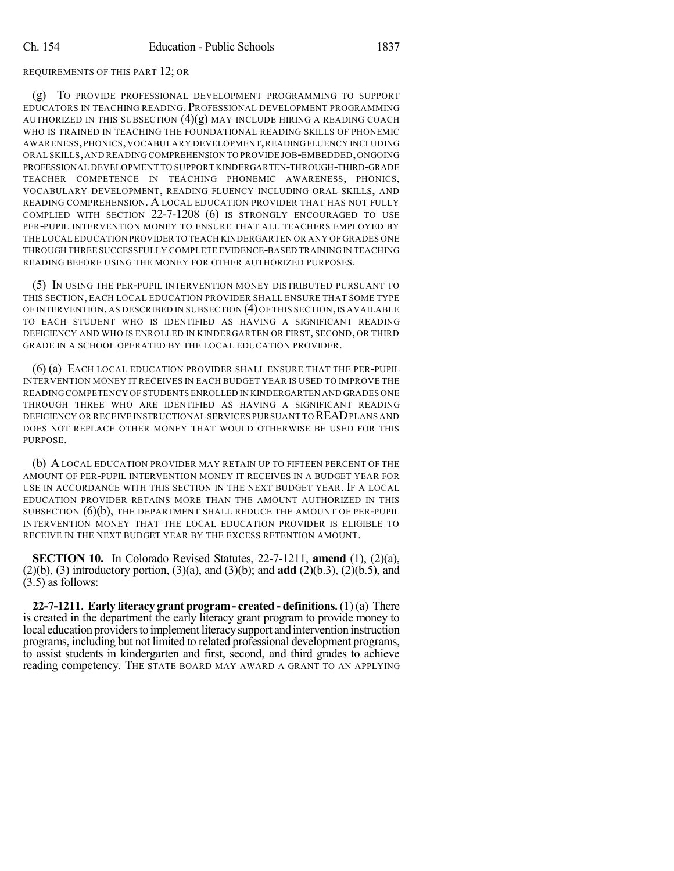### REQUIREMENTS OF THIS PART 12; OR

(g) TO PROVIDE PROFESSIONAL DEVELOPMENT PROGRAMMING TO SUPPORT EDUCATORS IN TEACHING READING. PROFESSIONAL DEVELOPMENT PROGRAMMING AUTHORIZED IN THIS SUBSECTION  $(4)(g)$  may include hiring a reading coach WHO IS TRAINED IN TEACHING THE FOUNDATIONAL READING SKILLS OF PHONEMIC AWARENESS,PHONICS,VOCABULARY DEVELOPMENT,READINGFLUENCY INCLUDING ORAL SKILLS,AND READING COMPREHENSION TO PROVIDE JOB-EMBEDDED,ONGOING PROFESSIONAL DEVELOPMENT TO SUPPORT KINDERGARTEN-THROUGH-THIRD-GRADE TEACHER COMPETENCE IN TEACHING PHONEMIC AWARENESS, PHONICS, VOCABULARY DEVELOPMENT, READING FLUENCY INCLUDING ORAL SKILLS, AND READING COMPREHENSION. A LOCAL EDUCATION PROVIDER THAT HAS NOT FULLY COMPLIED WITH SECTION 22-7-1208 (6) IS STRONGLY ENCOURAGED TO USE PER-PUPIL INTERVENTION MONEY TO ENSURE THAT ALL TEACHERS EMPLOYED BY THE LOCAL EDUCATION PROVIDER TO TEACH KINDERGARTEN OR ANY OF GRADES ONE THROUGH THREE SUCCESSFULLY COMPLETE EVIDENCE-BASED TRAININGIN TEACHING READING BEFORE USING THE MONEY FOR OTHER AUTHORIZED PURPOSES.

(5) IN USING THE PER-PUPIL INTERVENTION MONEY DISTRIBUTED PURSUANT TO THIS SECTION, EACH LOCAL EDUCATION PROVIDER SHALL ENSURE THAT SOME TYPE OF INTERVENTION, AS DESCRIBED IN SUBSECTION (4) OF THIS SECTION, IS AVAILABLE TO EACH STUDENT WHO IS IDENTIFIED AS HAVING A SIGNIFICANT READING DEFICIENCY AND WHO IS ENROLLED IN KINDERGARTEN OR FIRST, SECOND, OR THIRD GRADE IN A SCHOOL OPERATED BY THE LOCAL EDUCATION PROVIDER.

(6) (a) EACH LOCAL EDUCATION PROVIDER SHALL ENSURE THAT THE PER-PUPIL INTERVENTION MONEY IT RECEIVES IN EACH BUDGET YEAR IS USED TO IMPROVE THE READING COMPETENCY OF STUDENTS ENROLLED IN KINDERGARTEN AND GRADES ONE THROUGH THREE WHO ARE IDENTIFIED AS HAVING A SIGNIFICANT READING DEFICIENCY OR RECEIVE INSTRUCTIONAL SERVICES PURSUANT TO READPLANS AND DOES NOT REPLACE OTHER MONEY THAT WOULD OTHERWISE BE USED FOR THIS PURPOSE.

(b) A LOCAL EDUCATION PROVIDER MAY RETAIN UP TO FIFTEEN PERCENT OF THE AMOUNT OF PER-PUPIL INTERVENTION MONEY IT RECEIVES IN A BUDGET YEAR FOR USE IN ACCORDANCE WITH THIS SECTION IN THE NEXT BUDGET YEAR. IF A LOCAL EDUCATION PROVIDER RETAINS MORE THAN THE AMOUNT AUTHORIZED IN THIS SUBSECTION  $(6)(b)$ , THE DEPARTMENT SHALL REDUCE THE AMOUNT OF PER-PUPIL INTERVENTION MONEY THAT THE LOCAL EDUCATION PROVIDER IS ELIGIBLE TO RECEIVE IN THE NEXT BUDGET YEAR BY THE EXCESS RETENTION AMOUNT.

**SECTION 10.** In Colorado Revised Statutes, 22-7-1211, **amend** (1), (2)(a), (2)(b), (3) introductory portion, (3)(a), and (3)(b); and **add** (2)(b.3), (2)(b.5), and (3.5) as follows:

**22-7-1211. Early literacy grant program- created - definitions.** (1) (a) There is created in the department the early literacy grant program to provide money to local education providers to implement literacy support and intervention instruction programs, including but not limited to related professional development programs, to assist students in kindergarten and first, second, and third grades to achieve reading competency. THE STATE BOARD MAY AWARD A GRANT TO AN APPLYING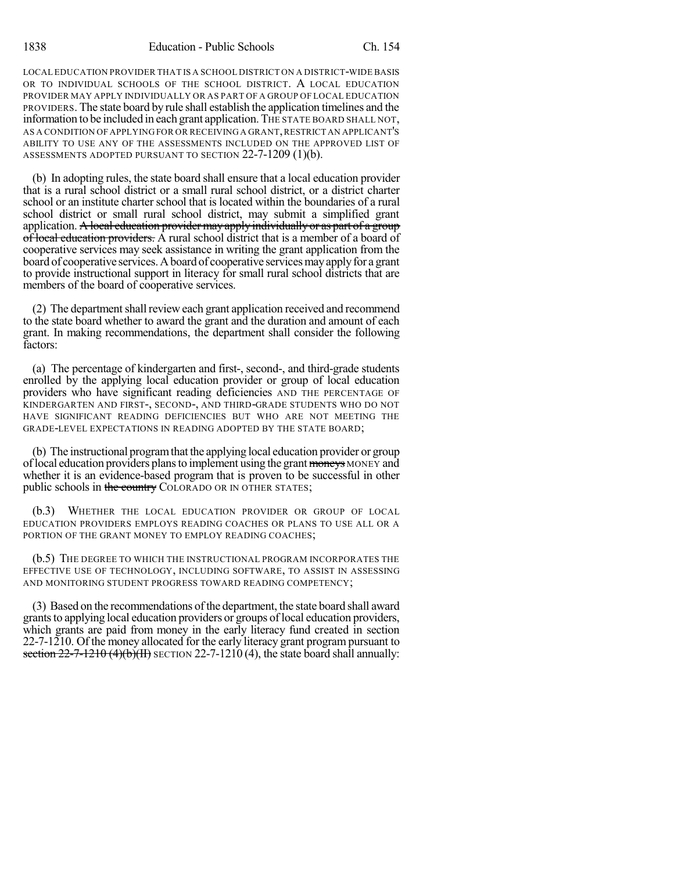LOCAL EDUCATION PROVIDER THAT IS A SCHOOL DISTRICT ON A DISTRICT-WIDE BASIS OR TO INDIVIDUAL SCHOOLS OF THE SCHOOL DISTRICT. A LOCAL EDUCATION PROVIDER MAY APPLY INDIVIDUALLY OR AS PART OF A GROUP OF LOCAL EDUCATION PROVIDERS. The state board by rule shall establish the application timelines and the information to be included in each grant application.THE STATE BOARD SHALL NOT, AS A CONDITION OF APPLYING FOR OR RECEIVING A GRANT,RESTRICT AN APPLICANT'S ABILITY TO USE ANY OF THE ASSESSMENTS INCLUDED ON THE APPROVED LIST OF ASSESSMENTS ADOPTED PURSUANT TO SECTION 22-7-1209 (1)(b).

(b) In adopting rules, the state board shall ensure that a local education provider that is a rural school district or a small rural school district, or a district charter school or an institute charter school that is located within the boundaries of a rural school district or small rural school district, may submit a simplified grant application. A local education provider may apply individually or as part of a group of local education providers. A rural school district that is a member of a board of cooperative services may seek assistance in writing the grant application from the board of cooperative services. A board of cooperative services may apply for a grant to provide instructional support in literacy for small rural school districts that are members of the board of cooperative services.

(2) The department shall review each grant application received and recommend to the state board whether to award the grant and the duration and amount of each grant. In making recommendations, the department shall consider the following factors:

(a) The percentage of kindergarten and first-, second-, and third-grade students enrolled by the applying local education provider or group of local education providers who have significant reading deficiencies AND THE PERCENTAGE OF KINDERGARTEN AND FIRST-, SECOND-, AND THIRD-GRADE STUDENTS WHO DO NOT HAVE SIGNIFICANT READING DEFICIENCIES BUT WHO ARE NOT MEETING THE GRADE-LEVEL EXPECTATIONS IN READING ADOPTED BY THE STATE BOARD;

(b) The instructional programthat the applying local education provider or group of local education providers plans to implement using the grant moneys MONEY and whether it is an evidence-based program that is proven to be successful in other public schools in the country COLORADO OR IN OTHER STATES;

(b.3) WHETHER THE LOCAL EDUCATION PROVIDER OR GROUP OF LOCAL EDUCATION PROVIDERS EMPLOYS READING COACHES OR PLANS TO USE ALL OR A PORTION OF THE GRANT MONEY TO EMPLOY READING COACHES;

(b.5) THE DEGREE TO WHICH THE INSTRUCTIONAL PROGRAM INCORPORATES THE EFFECTIVE USE OF TECHNOLOGY, INCLUDING SOFTWARE, TO ASSIST IN ASSESSING AND MONITORING STUDENT PROGRESS TOWARD READING COMPETENCY;

(3) Based on the recommendations ofthe department, the state board shall award grants to applying local education providers or groups of local education providers, which grants are paid from money in the early literacy fund created in section 22-7-1210. Of the money allocated for the early literacy grant program pursuant to section  $22-7-1210$  (4)(b)(II) SECTION 22-7-1210 (4), the state board shall annually: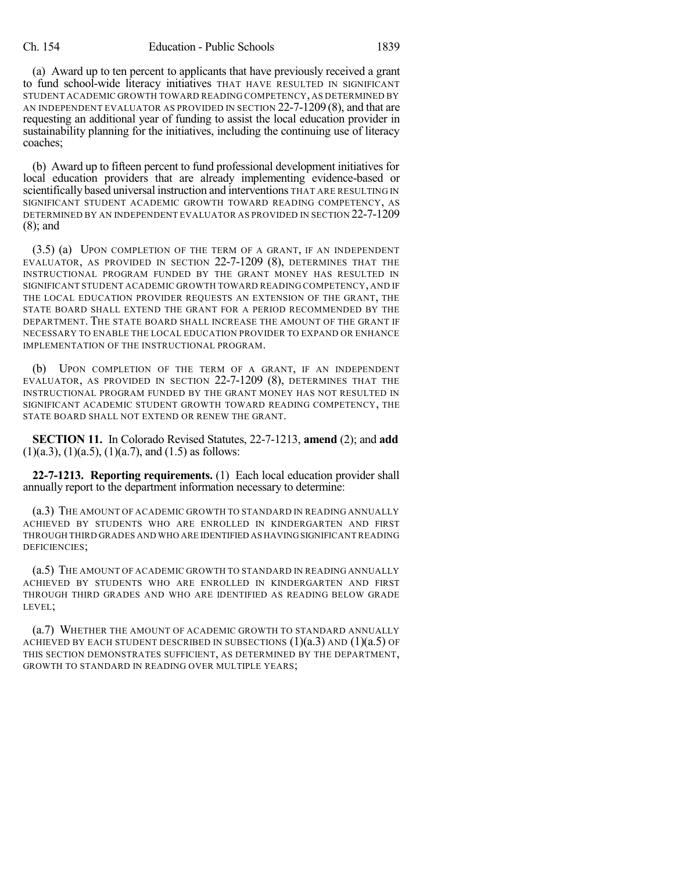(a) Award up to ten percent to applicants that have previously received a grant to fund school-wide literacy initiatives THAT HAVE RESULTED IN SIGNIFICANT STUDENT ACADEMIC GROWTH TOWARD READING COMPETENCY, AS DETERMINED BY AN INDEPENDENT EVALUATOR AS PROVIDED IN SECTION 22-7-1209 (8), and that are requesting an additional year of funding to assist the local education provider in sustainability planning for the initiatives, including the continuing use of literacy coaches;

(b) Award up to fifteen percent to fund professional development initiatives for local education providers that are already implementing evidence-based or scientifically based universal instruction and interventions THAT ARE RESULTING IN SIGNIFICANT STUDENT ACADEMIC GROWTH TOWARD READING COMPETENCY, AS DETERMINED BY AN INDEPENDENT EVALUATOR AS PROVIDED IN SECTION 22-7-1209 (8); and

(3.5) (a) UPON COMPLETION OF THE TERM OF A GRANT, IF AN INDEPENDENT EVALUATOR, AS PROVIDED IN SECTION 22-7-1209 (8), DETERMINES THAT THE INSTRUCTIONAL PROGRAM FUNDED BY THE GRANT MONEY HAS RESULTED IN SIGNIFICANT STUDENT ACADEMIC GROWTH TOWARD READING COMPETENCY, AND IF THE LOCAL EDUCATION PROVIDER REQUESTS AN EXTENSION OF THE GRANT, THE STATE BOARD SHALL EXTEND THE GRANT FOR A PERIOD RECOMMENDED BY THE DEPARTMENT. THE STATE BOARD SHALL INCREASE THE AMOUNT OF THE GRANT IF NECESSARY TO ENABLE THE LOCAL EDUCATION PROVIDER TO EXPAND OR ENHANCE IMPLEMENTATION OF THE INSTRUCTIONAL PROGRAM.

(b) UPON COMPLETION OF THE TERM OF A GRANT, IF AN INDEPENDENT EVALUATOR, AS PROVIDED IN SECTION 22-7-1209 (8), DETERMINES THAT THE INSTRUCTIONAL PROGRAM FUNDED BY THE GRANT MONEY HAS NOT RESULTED IN SIGNIFICANT ACADEMIC STUDENT GROWTH TOWARD READING COMPETENCY, THE STATE BOARD SHALL NOT EXTEND OR RENEW THE GRANT.

**SECTION 11.** In Colorado Revised Statutes, 22-7-1213, **amend** (2); and **add**  $(1)(a.3), (1)(a.5), (1)(a.7),$  and  $(1.5)$  as follows:

**22-7-1213. Reporting requirements.** (1) Each local education provider shall annually report to the department information necessary to determine:

(a.3) THE AMOUNT OF ACADEMIC GROWTH TO STANDARD IN READING ANNUALLY ACHIEVED BY STUDENTS WHO ARE ENROLLED IN KINDERGARTEN AND FIRST THROUGH THIRD GRADES AND WHO ARE IDENTIFIED AS HAVINGSIGNIFICANT READING DEFICIENCIES;

(a.5) THE AMOUNT OF ACADEMIC GROWTH TO STANDARD IN READING ANNUALLY ACHIEVED BY STUDENTS WHO ARE ENROLLED IN KINDERGARTEN AND FIRST THROUGH THIRD GRADES AND WHO ARE IDENTIFIED AS READING BELOW GRADE LEVEL;

(a.7) WHETHER THE AMOUNT OF ACADEMIC GROWTH TO STANDARD ANNUALLY ACHIEVED BY EACH STUDENT DESCRIBED IN SUBSECTIONS  $(1)(a.3)$  and  $(1)(a.5)$  of THIS SECTION DEMONSTRATES SUFFICIENT, AS DETERMINED BY THE DEPARTMENT, GROWTH TO STANDARD IN READING OVER MULTIPLE YEARS;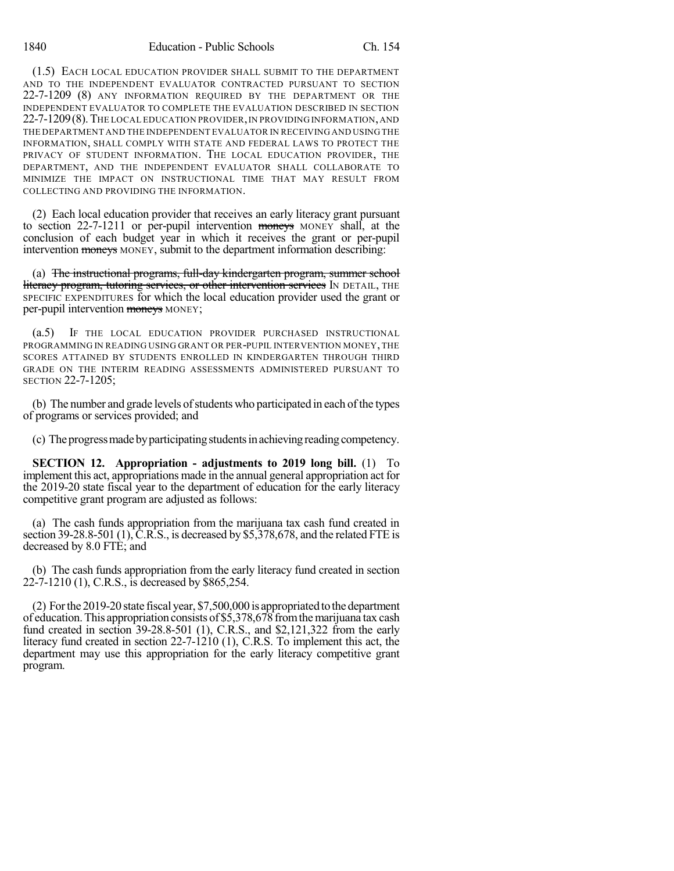(1.5) EACH LOCAL EDUCATION PROVIDER SHALL SUBMIT TO THE DEPARTMENT AND TO THE INDEPENDENT EVALUATOR CONTRACTED PURSUANT TO SECTION 22-7-1209 (8) ANY INFORMATION REQUIRED BY THE DEPARTMENT OR THE INDEPENDENT EVALUATOR TO COMPLETE THE EVALUATION DESCRIBED IN SECTION 22-7-1209(8).THE LOCAL EDUCATION PROVIDER,IN PROVIDING INFORMATION,AND THE DEPARTMENT AND THE INDEPENDENT EVALUATOR IN RECEIVING AND USING THE INFORMATION, SHALL COMPLY WITH STATE AND FEDERAL LAWS TO PROTECT THE PRIVACY OF STUDENT INFORMATION. THE LOCAL EDUCATION PROVIDER, THE DEPARTMENT, AND THE INDEPENDENT EVALUATOR SHALL COLLABORATE TO MINIMIZE THE IMPACT ON INSTRUCTIONAL TIME THAT MAY RESULT FROM COLLECTING AND PROVIDING THE INFORMATION.

(2) Each local education provider that receives an early literacy grant pursuant to section 22-7-1211 or per-pupil intervention moneys MONEY shall, at the conclusion of each budget year in which it receives the grant or per-pupil intervention moneys MONEY, submit to the department information describing:

(a) The instructional programs, full-day kindergarten program, summer school literacy program, tutoring services, or other intervention services IN DETAIL, THE SPECIFIC EXPENDITURES for which the local education provider used the grant or per-pupil intervention moneys MONEY;

(a.5) IF THE LOCAL EDUCATION PROVIDER PURCHASED INSTRUCTIONAL PROGRAMMING IN READING USING GRANT OR PER-PUPIL INTERVENTION MONEY, THE SCORES ATTAINED BY STUDENTS ENROLLED IN KINDERGARTEN THROUGH THIRD GRADE ON THE INTERIM READING ASSESSMENTS ADMINISTERED PURSUANT TO SECTION 22-7-1205;

(b) The number and grade levels of students who participated in each of the types of programs or services provided; and

(c) The progress made by participating students in achieving reading competency.

**SECTION 12. Appropriation - adjustments to 2019 long bill.** (1) To implement this act, appropriations made in the annual general appropriation act for the 2019-20 state fiscal year to the department of education for the early literacy competitive grant program are adjusted as follows:

(a) The cash funds appropriation from the marijuana tax cash fund created in section 39-28.8-501 (1),  $\tilde{C}$ .R.S., is decreased by \$5,378,678, and the related FTE is decreased by 8.0 FTE; and

(b) The cash funds appropriation from the early literacy fund created in section 22-7-1210 (1), C.R.S., is decreased by \$865,254.

(2) Forthe 2019-20 state fiscal year, \$7,500,000 is appropriated tothedepartment of education.This appropriation consists of \$5,378,678 fromthemarijuana tax cash fund created in section 39-28.8-501 (1), C.R.S., and \$2,121,322 from the early literacy fund created in section 22-7-1210 (1), C.R.S. To implement this act, the department may use this appropriation for the early literacy competitive grant program.